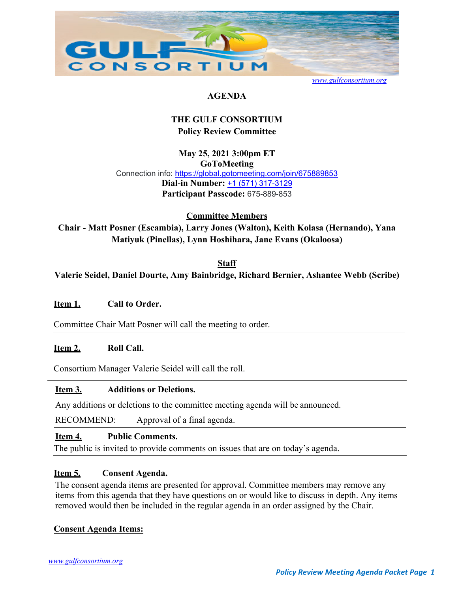

*www.gulfconsortium.org*

## **AGENDA**

## **THE GULF CONSORTIUM Policy Review Committee**

**May 25, 2021 3:00pm ET GoToMeeting**  Connection info: https://global.gotomeeting.com/join/675889853 **Dial-in Number:** +1 (571) 317-3129 **Participant Passcode:** 675-889-853

**Committee Members** 

**Chair - Matt Posner (Escambia), Larry Jones (Walton), Keith Kolasa (Hernando), Yana Matiyuk (Pinellas), Lynn Hoshihara, Jane Evans (Okaloosa)** 

**Staff Valerie Seidel, Daniel Dourte, Amy Bainbridge, Richard Bernier, Ashantee Webb (Scribe)** 

## **Item 1. Call to Order.**

Committee Chair Matt Posner will call the meeting to order.

## Item 2. Roll Call.

Consortium Manager Valerie Seidel will call the roll.

### **Item 3. Additions or Deletions.**

Any additions or deletions to the committee meeting agenda will be announced.

RECOMMEND: Approval of a final agenda.

### **Item 4. Public Comments.**

The public is invited to provide comments on issues that are on today's agenda.

## **Item 5. Consent Agenda.**

The consent agenda items are presented for approval. Committee members may remove any items from this agenda that they have questions on or would like to discuss in depth. Any items removed would then be included in the regular agenda in an order assigned by the Chair.

## **Consent Agenda Items:**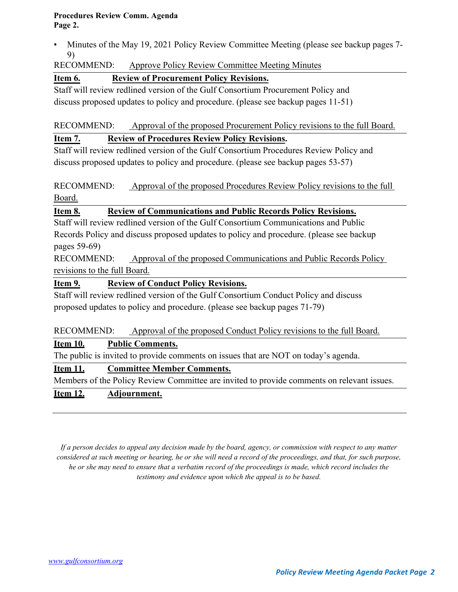### **Procedures Review Comm. Agenda Page 2.**

• Minutes of the May 19, 2021 Policy Review Committee Meeting (please see backup pages 7- 9)

## RECOMMEND: Approve Policy Review Committee Meeting Minutes

## **Item 6. Review of Procurement Policy Revisions.**

Staff will review redlined version of the Gulf Consortium Procurement Policy and discuss proposed updates to policy and procedure. (please see backup pages 11-51)

RECOMMEND: Approval of the proposed Procurement Policy revisions to the full Board.

## **Item 7. Review of Procedures Review Policy Revisions.**

Staff will review redlined version of the Gulf Consortium Procedures Review Policy and discuss proposed updates to policy and procedure. (please see backup pages 53-57)

RECOMMEND: Approval of the proposed Procedures Review Policy revisions to the full Board.

## **Item 8. Review of Communications and Public Records Policy Revisions.**

Staff will review redlined version of the Gulf Consortium Communications and Public Records Policy and discuss proposed updates to policy and procedure. (please see backup pages 59-69)

RECOMMEND: Approval of the proposed Communications and Public Records Policy revisions to the full Board.

## **Item 9. Review of Conduct Policy Revisions.**

Staff will review redlined version of the Gulf Consortium Conduct Policy and discuss proposed updates to policy and procedure. (please see backup pages 71-79)

RECOMMEND: Approval of the proposed Conduct Policy revisions to the full Board.

## **Item 10. Public Comments.**

The public is invited to provide comments on issues that are NOT on today's agenda.

## **Item 11. Committee Member Comments.**

Members of the Policy Review Committee are invited to provide comments on relevant issues.

## **Item 12. Adjournment.**

*If a person decides to appeal any decision made by the board, agency, or commission with respect to any matter considered at such meeting or hearing, he or she will need a record of the proceedings, and that, for such purpose, he or she may need to ensure that a verbatim record of the proceedings is made, which record includes the testimony and evidence upon which the appeal is to be based.*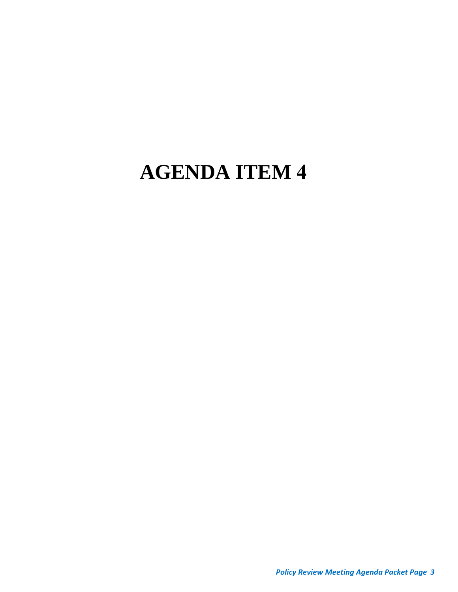# **AGENDA ITEM 4**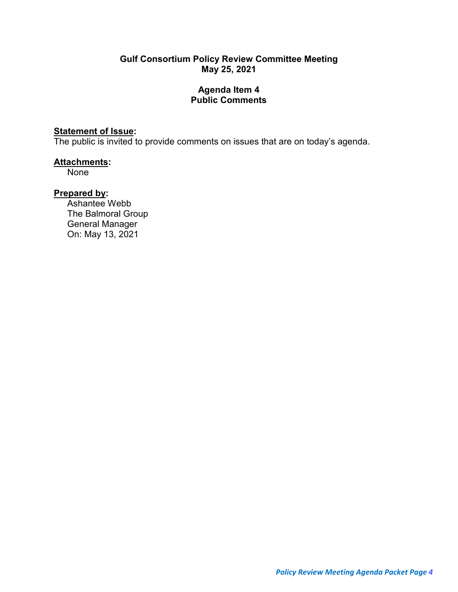## **Gulf Consortium Policy Review Committee Meeting May 25, 2021**

## **Agenda Item 4 Public Comments**

## **Statement of Issue:**

The public is invited to provide comments on issues that are on today's agenda.

## **Attachments:**

None

## **Prepared by:**

Ashantee Webb The Balmoral Group General Manager On: May 13, 2021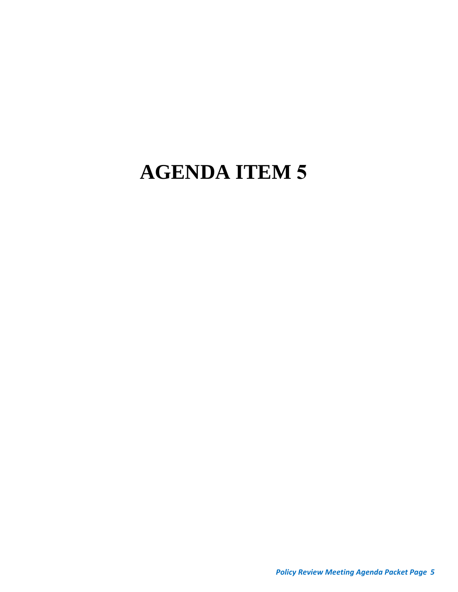# **AGENDA ITEM 5**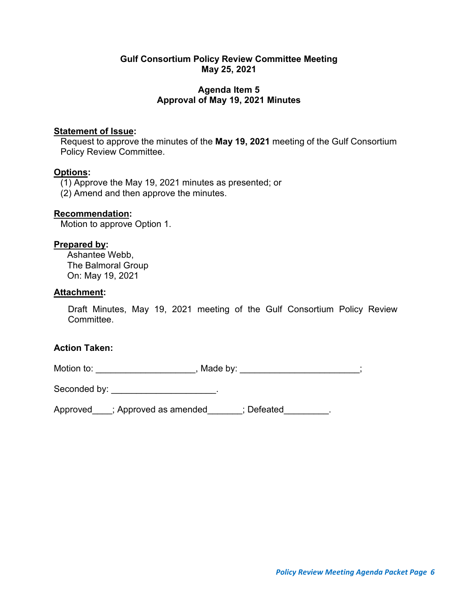## **Gulf Consortium Policy Review Committee Meeting May 25, 2021**

## **Agenda Item 5 Approval of May 19, 2021 Minutes**

## **Statement of Issue:**

Request to approve the minutes of the **May 19, 2021** meeting of the Gulf Consortium Policy Review Committee.

## **Options:**

(1) Approve the May 19, 2021 minutes as presented; or

(2) Amend and then approve the minutes.

## **Recommendation:**

Motion to approve Option 1.

## **Prepared by:**

Ashantee Webb, The Balmoral Group On: May 19, 2021

## **Attachment:**

Draft Minutes, May 19, 2021 meeting of the Gulf Consortium Policy Review Committee.

## **Action Taken:**

Motion to: \_\_\_\_\_\_\_\_\_\_\_\_\_\_\_\_\_\_\_\_\_\_\_, Made by: \_\_\_\_\_\_\_\_\_\_\_\_\_\_\_\_\_\_\_\_\_;

Seconded by: \_\_\_\_\_\_\_\_\_\_\_\_\_\_\_\_\_\_\_\_\_\_\_\_.

Approved\_\_\_\_; Approved as amended\_\_\_\_\_\_; Defeated\_\_\_\_\_\_\_\_\_.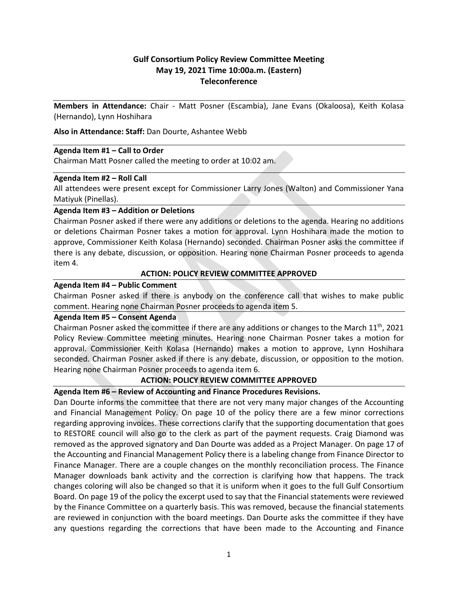## **Gulf Consortium Policy Review Committee Meeting May 19, 2021 Time 10:00a.m. (Eastern) Teleconference**

**Members in Attendance:** Chair ‐ Matt Posner (Escambia), Jane Evans (Okaloosa), Keith Kolasa (Hernando), Lynn Hoshihara

**Also in Attendance: Staff:** Dan Dourte, Ashantee Webb

### **Agenda Item #1 – Call to Order**

Chairman Matt Posner called the meeting to order at 10:02 am.

### **Agenda Item #2 – Roll Call**

All attendees were present except for Commissioner Larry Jones (Walton) and Commissioner Yana Matiyuk (Pinellas).

### **Agenda Item #3 – Addition or Deletions**

Chairman Posner asked if there were any additions or deletions to the agenda. Hearing no additions or deletions Chairman Posner takes a motion for approval. Lynn Hoshihara made the motion to approve, Commissioner Keith Kolasa (Hernando) seconded. Chairman Posner asks the committee if there is any debate, discussion, or opposition. Hearing none Chairman Posner proceeds to agenda item 4.

### **ACTION: POLICY REVIEW COMMITTEE APPROVED**

### **Agenda Item #4 – Public Comment**

Chairman Posner asked if there is anybody on the conference call that wishes to make public comment. Hearing none Chairman Posner proceeds to agenda item 5.

### **Agenda Item #5 – Consent Agenda**

Chairman Posner asked the committee if there are any additions or changes to the March  $11<sup>th</sup>$ , 2021 Policy Review Committee meeting minutes. Hearing none Chairman Posner takes a motion for approval. Commissioner Keith Kolasa (Hernando) makes a motion to approve, Lynn Hoshihara seconded. Chairman Posner asked if there is any debate, discussion, or opposition to the motion. Hearing none Chairman Posner proceeds to agenda item 6.

### **ACTION: POLICY REVIEW COMMITTEE APPROVED**

### **Agenda Item #6 – Review of Accounting and Finance Procedures Revisions.**

Dan Dourte informs the committee that there are not very many major changes of the Accounting and Financial Management Policy. On page 10 of the policy there are a few minor corrections regarding approving invoices. These corrections clarify that the supporting documentation that goes to RESTORE council will also go to the clerk as part of the payment requests. Craig Diamond was removed as the approved signatory and Dan Dourte was added as a Project Manager. On page 17 of the Accounting and Financial Management Policy there is a labeling change from Finance Director to Finance Manager. There are a couple changes on the monthly reconciliation process. The Finance Manager downloads bank activity and the correction is clarifying how that happens. The track changes coloring will also be changed so that it is uniform when it goes to the full Gulf Consortium Board. On page 19 of the policy the excerpt used to say that the Financial statements were reviewed by the Finance Committee on a quarterly basis. This was removed, because the financial statements are reviewed in conjunction with the board meetings. Dan Dourte asks the committee if they have any questions regarding the corrections that have been made to the Accounting and Finance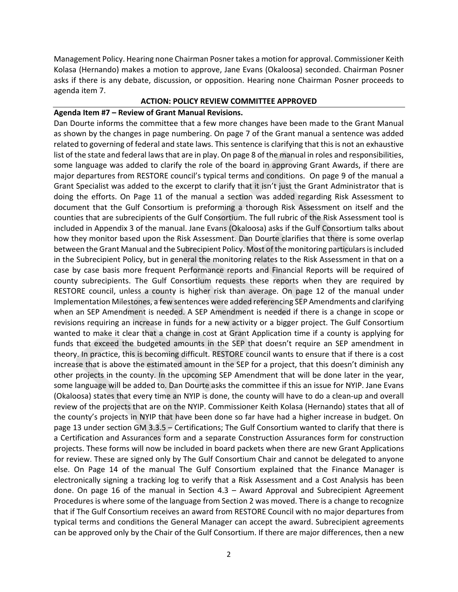Management Policy. Hearing none Chairman Posner takes a motion for approval. Commissioner Keith Kolasa (Hernando) makes a motion to approve, Jane Evans (Okaloosa) seconded. Chairman Posner asks if there is any debate, discussion, or opposition. Hearing none Chairman Posner proceeds to agenda item 7.

### **ACTION: POLICY REVIEW COMMITTEE APPROVED**

### **Agenda Item #7 – Review of Grant Manual Revisions.**

Dan Dourte informs the committee that a few more changes have been made to the Grant Manual as shown by the changes in page numbering. On page 7 of the Grant manual a sentence was added related to governing of federal and state laws. This sentence is clarifying that thisis not an exhaustive list of the state and federal lawsthat are in play. On page 8 of the manual in roles and responsibilities, some language was added to clarify the role of the board in approving Grant Awards, if there are major departures from RESTORE council's typical terms and conditions. On page 9 of the manual a Grant Specialist was added to the excerpt to clarify that it isn't just the Grant Administrator that is doing the efforts. On Page 11 of the manual a section was added regarding Risk Assessment to document that the Gulf Consortium is preforming a thorough Risk Assessment on itself and the counties that are subrecipients of the Gulf Consortium. The full rubric of the Risk Assessment tool is included in Appendix 3 of the manual. Jane Evans (Okaloosa) asks if the Gulf Consortium talks about how they monitor based upon the Risk Assessment. Dan Dourte clarifies that there is some overlap between the Grant Manual and the Subrecipient Policy. Most of the monitoring particulars is included in the Subrecipient Policy, but in general the monitoring relates to the Risk Assessment in that on a case by case basis more frequent Performance reports and Financial Reports will be required of county subrecipients. The Gulf Consortium requests these reports when they are required by RESTORE council, unless a county is higher risk than average. On page 12 of the manual under Implementation Milestones, a few sentences were added referencing SEP Amendments and clarifying when an SEP Amendment is needed. A SEP Amendment is needed if there is a change in scope or revisions requiring an increase in funds for a new activity or a bigger project. The Gulf Consortium wanted to make it clear that a change in cost at Grant Application time if a county is applying for funds that exceed the budgeted amounts in the SEP that doesn't require an SEP amendment in theory. In practice, this is becoming difficult. RESTORE council wants to ensure that if there is a cost increase that is above the estimated amount in the SEP for a project, that this doesn't diminish any other projects in the county. In the upcoming SEP Amendment that will be done later in the year, some language will be added to. Dan Dourte asks the committee if this an issue for NYIP. Jane Evans (Okaloosa) states that every time an NYIP is done, the county will have to do a clean‐up and overall review of the projects that are on the NYIP. Commissioner Keith Kolasa (Hernando) states that all of the county's projects in NYIP that have been done so far have had a higher increase in budget. On page 13 under section GM 3.3.5 – Certifications; The Gulf Consortium wanted to clarify that there is a Certification and Assurances form and a separate Construction Assurances form for construction projects. These forms will now be included in board packets when there are new Grant Applications for review. These are signed only by The Gulf Consortium Chair and cannot be delegated to anyone else. On Page 14 of the manual The Gulf Consortium explained that the Finance Manager is electronically signing a tracking log to verify that a Risk Assessment and a Cost Analysis has been done. On page 16 of the manual in Section 4.3 – Award Approval and Subrecipient Agreement Procedures is where some of the language from Section 2 was moved. There is a change to recognize that if The Gulf Consortium receives an award from RESTORE Council with no major departures from typical terms and conditions the General Manager can accept the award. Subrecipient agreements can be approved only by the Chair of the Gulf Consortium. If there are major differences, then a new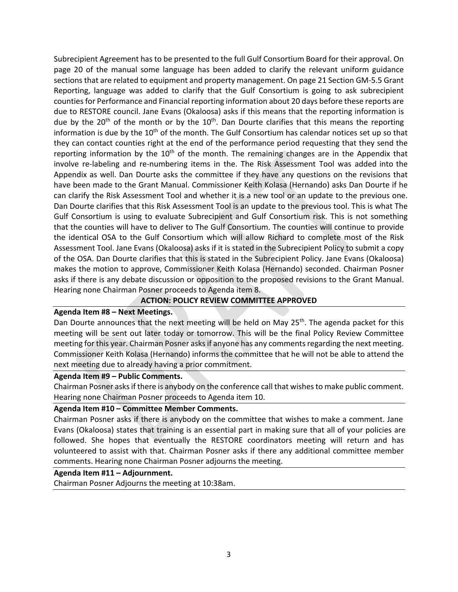Subrecipient Agreement has to be presented to the full Gulf Consortium Board for their approval. On page 20 of the manual some language has been added to clarify the relevant uniform guidance sections that are related to equipment and property management. On page 21 Section GM‐5.5 Grant Reporting, language was added to clarify that the Gulf Consortium is going to ask subrecipient countiesfor Performance and Financial reporting information about 20 days before these reports are due to RESTORE council. Jane Evans (Okaloosa) asks if this means that the reporting information is due by the 20<sup>th</sup> of the month or by the 10<sup>th</sup>. Dan Dourte clarifies that this means the reporting information is due by the  $10<sup>th</sup>$  of the month. The Gulf Consortium has calendar notices set up so that they can contact counties right at the end of the performance period requesting that they send the reporting information by the  $10<sup>th</sup>$  of the month. The remaining changes are in the Appendix that involve re-labeling and re-numbering items in the. The Risk Assessment Tool was added into the Appendix as well. Dan Dourte asks the committee if they have any questions on the revisions that have been made to the Grant Manual. Commissioner Keith Kolasa (Hernando) asks Dan Dourte if he can clarify the Risk Assessment Tool and whether it is a new tool or an update to the previous one. Dan Dourte clarifies that this Risk Assessment Tool is an update to the previous tool. This is what The Gulf Consortium is using to evaluate Subrecipient and Gulf Consortium risk. This is not something that the counties will have to deliver to The Gulf Consortium. The counties will continue to provide the identical OSA to the Gulf Consortium which will allow Richard to complete most of the Risk Assessment Tool. Jane Evans (Okaloosa) asks if it is stated in the Subrecipient Policy to submit a copy of the OSA. Dan Dourte clarifies that this is stated in the Subrecipient Policy. Jane Evans (Okaloosa) makes the motion to approve, Commissioner Keith Kolasa (Hernando) seconded. Chairman Posner asks if there is any debate discussion or opposition to the proposed revisions to the Grant Manual. Hearing none Chairman Posner proceeds to Agenda item 8.

### **ACTION: POLICY REVIEW COMMITTEE APPROVED**

### **Agenda Item #8 – Next Meetings.**

Dan Dourte announces that the next meeting will be held on May 25<sup>th</sup>. The agenda packet for this meeting will be sent out later today or tomorrow. This will be the final Policy Review Committee meeting for this year. Chairman Posner asks if anyone has any comments regarding the next meeting. Commissioner Keith Kolasa (Hernando) informs the committee that he will not be able to attend the next meeting due to already having a prior commitment.

#### **Agenda Item #9 – Public Comments.**

Chairman Posner asksif there is anybody on the conference call that wishesto make public comment. Hearing none Chairman Posner proceeds to Agenda item 10.

### **Agenda Item #10 – Committee Member Comments.**

Chairman Posner asks if there is anybody on the committee that wishes to make a comment. Jane Evans (Okaloosa) states that training is an essential part in making sure that all of your policies are followed. She hopes that eventually the RESTORE coordinators meeting will return and has volunteered to assist with that. Chairman Posner asks if there any additional committee member comments. Hearing none Chairman Posner adjourns the meeting.

### **Agenda Item #11 – Adjournment.**

Chairman Posner Adjourns the meeting at 10:38am.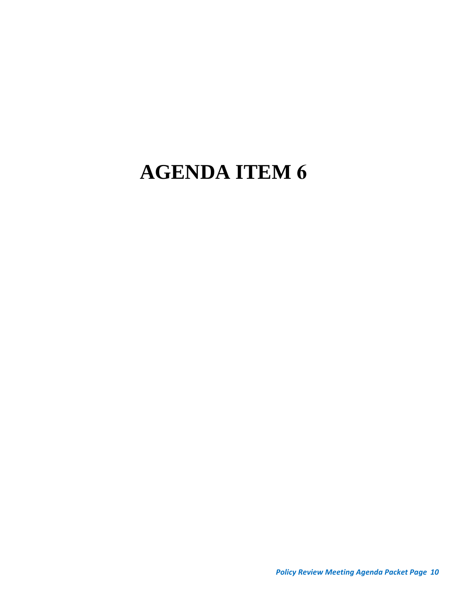# **AGENDA ITEM 6**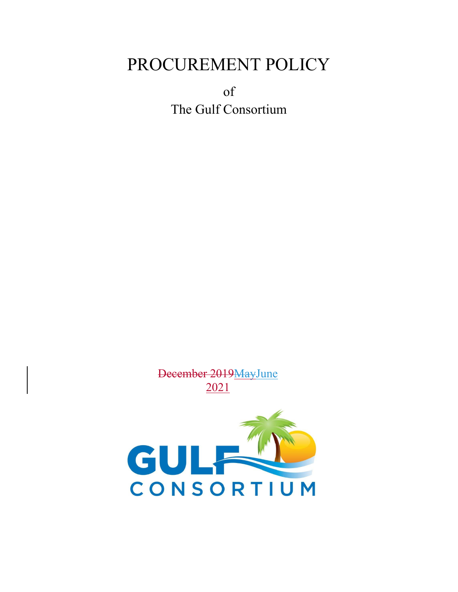## PROCUREMENT POLICY

of The Gulf Consortium



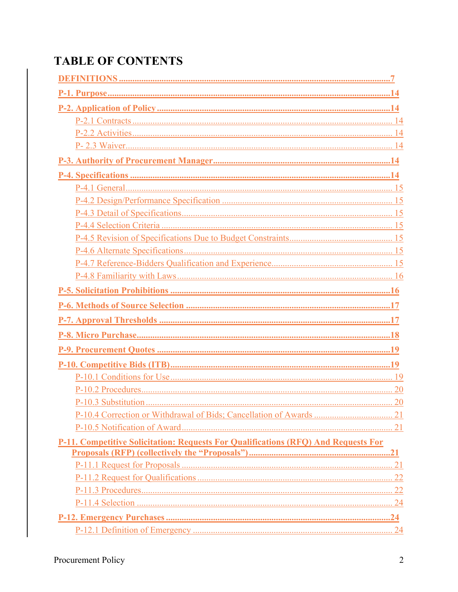## **TABLE OF CONTENTS**

| P-11. Competitive Solicitation: Requests For Qualifications (RFQ) And Requests For |  |
|------------------------------------------------------------------------------------|--|
|                                                                                    |  |
|                                                                                    |  |
|                                                                                    |  |
|                                                                                    |  |
|                                                                                    |  |
|                                                                                    |  |
|                                                                                    |  |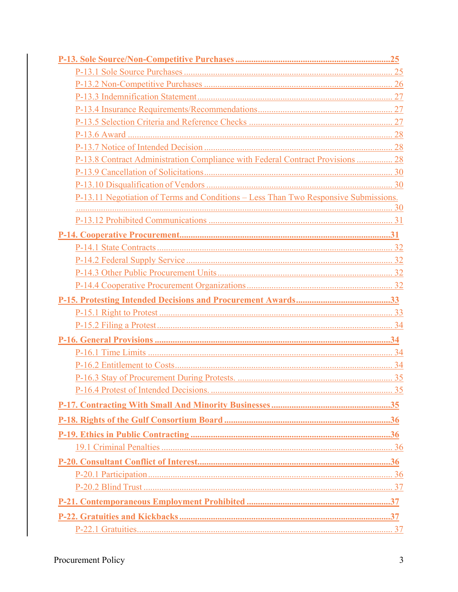| P-13.8 Contract Administration Compliance with Federal Contract Provisions  28      |
|-------------------------------------------------------------------------------------|
|                                                                                     |
|                                                                                     |
| P-13.11 Negotiation of Terms and Conditions – Less Than Two Responsive Submissions. |
|                                                                                     |
|                                                                                     |
|                                                                                     |
|                                                                                     |
|                                                                                     |
|                                                                                     |
|                                                                                     |
|                                                                                     |
|                                                                                     |
|                                                                                     |
|                                                                                     |
|                                                                                     |
|                                                                                     |
|                                                                                     |
|                                                                                     |
|                                                                                     |
|                                                                                     |
|                                                                                     |
|                                                                                     |
|                                                                                     |
|                                                                                     |
|                                                                                     |
|                                                                                     |
|                                                                                     |
|                                                                                     |
|                                                                                     |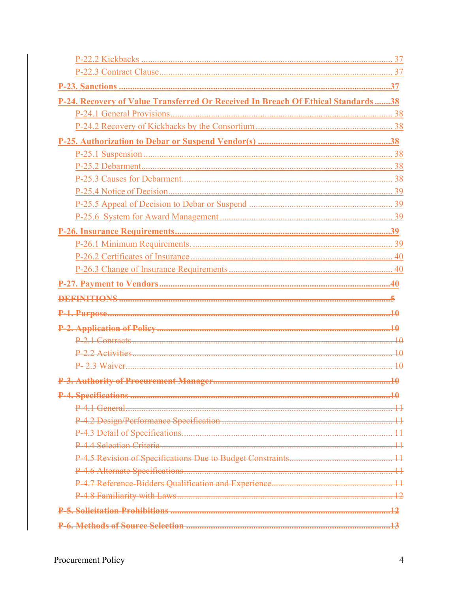| P-24. Recovery of Value Transferred Or Received In Breach Of Ethical Standards38 |  |
|----------------------------------------------------------------------------------|--|
|                                                                                  |  |
|                                                                                  |  |
|                                                                                  |  |
|                                                                                  |  |
|                                                                                  |  |
|                                                                                  |  |
|                                                                                  |  |
|                                                                                  |  |
|                                                                                  |  |
|                                                                                  |  |
|                                                                                  |  |
|                                                                                  |  |
|                                                                                  |  |
|                                                                                  |  |
|                                                                                  |  |
|                                                                                  |  |
|                                                                                  |  |
|                                                                                  |  |
|                                                                                  |  |
|                                                                                  |  |
|                                                                                  |  |
|                                                                                  |  |
| $P_4$ 1 General                                                                  |  |
|                                                                                  |  |
|                                                                                  |  |
|                                                                                  |  |
|                                                                                  |  |
|                                                                                  |  |
|                                                                                  |  |
|                                                                                  |  |
|                                                                                  |  |
|                                                                                  |  |
|                                                                                  |  |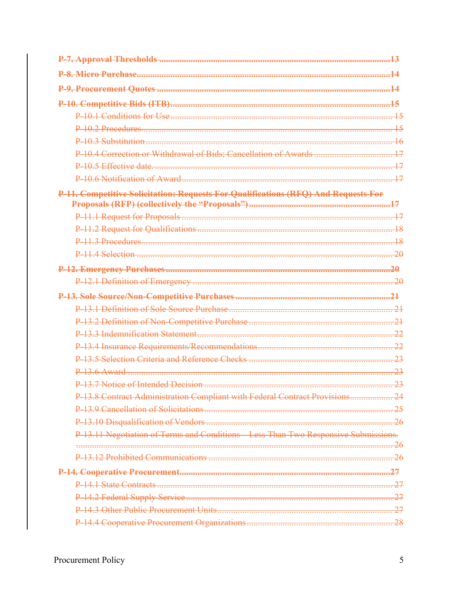| <u>l Miero Purchase</u>                                                            |                |
|------------------------------------------------------------------------------------|----------------|
|                                                                                    |                |
|                                                                                    |                |
|                                                                                    |                |
| $P_{10}$ ? Procedures                                                              | 15             |
| $P-10.3$ Substitution                                                              |                |
|                                                                                    | 17             |
|                                                                                    |                |
|                                                                                    |                |
| P-11. Competitive Solicitation: Requests For Qualifications (RFQ) And Requests For |                |
|                                                                                    |                |
|                                                                                    |                |
| P-11.3 Procedures                                                                  |                |
|                                                                                    | 20             |
|                                                                                    |                |
|                                                                                    | ഛ              |
|                                                                                    |                |
|                                                                                    | 21             |
|                                                                                    | $\mathcal{Q}1$ |
|                                                                                    | 22             |
|                                                                                    |                |
|                                                                                    |                |
| $P-13.6$ Award                                                                     | 23             |
|                                                                                    | -23            |
| P-13.8 Contract Administration Compliant with Federal Contract Provisions          |                |
|                                                                                    |                |
|                                                                                    |                |
| P-13.11 Negotiation of Terms and Conditions Less Than Two Responsive Submissions.  |                |
|                                                                                    |                |
|                                                                                    |                |
|                                                                                    |                |
|                                                                                    |                |
|                                                                                    |                |
|                                                                                    | -27            |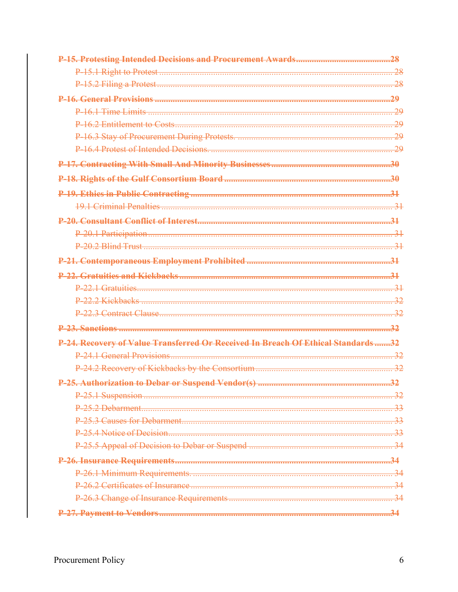|                                                                                   | 28        |
|-----------------------------------------------------------------------------------|-----------|
|                                                                                   |           |
|                                                                                   | <u>ာဂ</u> |
|                                                                                   |           |
|                                                                                   |           |
|                                                                                   |           |
|                                                                                   |           |
|                                                                                   |           |
|                                                                                   |           |
|                                                                                   |           |
|                                                                                   |           |
|                                                                                   |           |
|                                                                                   |           |
|                                                                                   |           |
|                                                                                   |           |
|                                                                                   |           |
|                                                                                   |           |
|                                                                                   |           |
|                                                                                   | 32        |
| P-24. Recovery of Value Transferred Or Received In Breach Of Ethical Standards 32 |           |
|                                                                                   |           |
|                                                                                   |           |
|                                                                                   |           |
|                                                                                   |           |
|                                                                                   |           |
|                                                                                   |           |
|                                                                                   |           |
|                                                                                   |           |
|                                                                                   |           |
|                                                                                   |           |
|                                                                                   |           |
|                                                                                   |           |
|                                                                                   |           |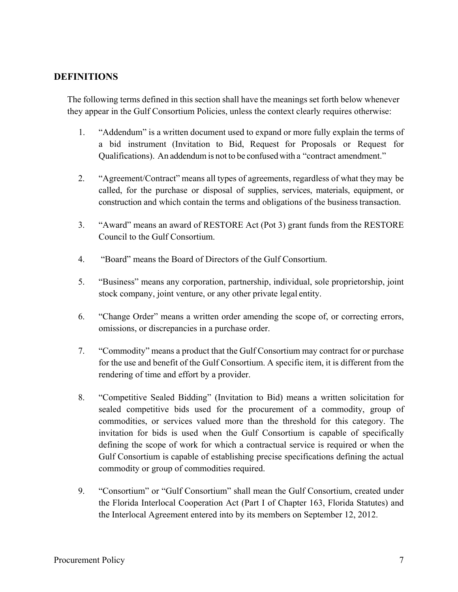## **DEFINITIONS**

The following terms defined in this section shall have the meanings set forth below whenever they appear in the Gulf Consortium Policies, unless the context clearly requires otherwise:

- 1. "Addendum" is a written document used to expand or more fully explain the terms of a bid instrument (Invitation to Bid, Request for Proposals or Request for Qualifications). An addendum is not to be confused with a "contract amendment."
- 2. "Agreement/Contract" means all types of agreements, regardless of what they may be called, for the purchase or disposal of supplies, services, materials, equipment, or construction and which contain the terms and obligations of the business transaction.
- 3. "Award" means an award of RESTORE Act (Pot 3) grant funds from the RESTORE Council to the Gulf Consortium.
- 4. "Board" means the Board of Directors of the Gulf Consortium.
- 5. "Business" means any corporation, partnership, individual, sole proprietorship, joint stock company, joint venture, or any other private legal entity.
- 6. "Change Order" means a written order amending the scope of, or correcting errors, omissions, or discrepancies in a purchase order.
- 7. "Commodity" means a product that the Gulf Consortium may contract for or purchase for the use and benefit of the Gulf Consortium. A specific item, it is different from the rendering of time and effort by a provider.
- 8. "Competitive Sealed Bidding" (Invitation to Bid) means a written solicitation for sealed competitive bids used for the procurement of a commodity, group of commodities, or services valued more than the threshold for this category. The invitation for bids is used when the Gulf Consortium is capable of specifically defining the scope of work for which a contractual service is required or when the Gulf Consortium is capable of establishing precise specifications defining the actual commodity or group of commodities required.
- 9. "Consortium" or "Gulf Consortium" shall mean the Gulf Consortium, created under the Florida Interlocal Cooperation Act (Part I of Chapter 163, Florida Statutes) and the Interlocal Agreement entered into by its members on September 12, 2012.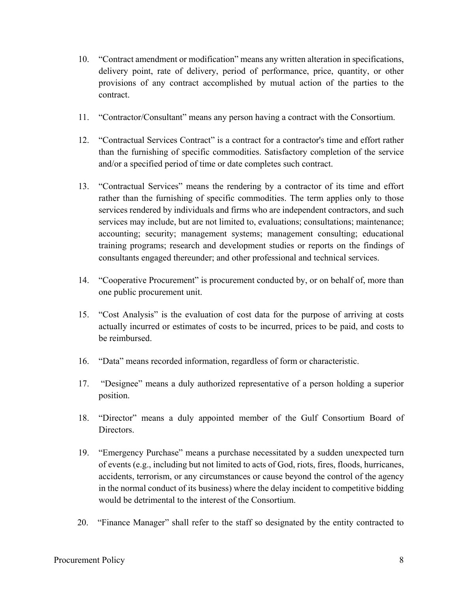- 10. "Contract amendment or modification" means any written alteration in specifications, delivery point, rate of delivery, period of performance, price, quantity, or other provisions of any contract accomplished by mutual action of the parties to the contract.
- 11. "Contractor/Consultant" means any person having a contract with the Consortium.
- 12. "Contractual Services Contract" is a contract for a contractor's time and effort rather than the furnishing of specific commodities. Satisfactory completion of the service and/or a specified period of time or date completes such contract.
- 13. "Contractual Services" means the rendering by a contractor of its time and effort rather than the furnishing of specific commodities. The term applies only to those services rendered by individuals and firms who are independent contractors, and such services may include, but are not limited to, evaluations; consultations; maintenance; accounting; security; management systems; management consulting; educational training programs; research and development studies or reports on the findings of consultants engaged thereunder; and other professional and technical services.
- 14. "Cooperative Procurement" is procurement conducted by, or on behalf of, more than one public procurement unit.
- 15. "Cost Analysis" is the evaluation of cost data for the purpose of arriving at costs actually incurred or estimates of costs to be incurred, prices to be paid, and costs to be reimbursed.
- 16. "Data" means recorded information, regardless of form or characteristic.
- 17. "Designee" means a duly authorized representative of a person holding a superior position.
- 18. "Director" means a duly appointed member of the Gulf Consortium Board of Directors.
- 19. "Emergency Purchase" means a purchase necessitated by a sudden unexpected turn of events (e.g., including but not limited to acts of God, riots, fires, floods, hurricanes, accidents, terrorism, or any circumstances or cause beyond the control of the agency in the normal conduct of its business) where the delay incident to competitive bidding would be detrimental to the interest of the Consortium.
- 20. "Finance Manager" shall refer to the staff so designated by the entity contracted to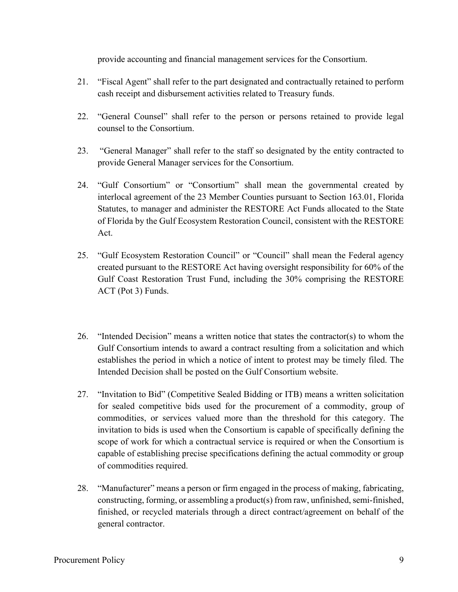provide accounting and financial management services for the Consortium.

- 21. "Fiscal Agent" shall refer to the part designated and contractually retained to perform cash receipt and disbursement activities related to Treasury funds.
- 22. "General Counsel" shall refer to the person or persons retained to provide legal counsel to the Consortium.
- 23. "General Manager" shall refer to the staff so designated by the entity contracted to provide General Manager services for the Consortium.
- 24. "Gulf Consortium" or "Consortium" shall mean the governmental created by interlocal agreement of the 23 Member Counties pursuant to Section 163.01, Florida Statutes, to manager and administer the RESTORE Act Funds allocated to the State of Florida by the Gulf Ecosystem Restoration Council, consistent with the RESTORE Act.
- 25. "Gulf Ecosystem Restoration Council" or "Council" shall mean the Federal agency created pursuant to the RESTORE Act having oversight responsibility for 60% of the Gulf Coast Restoration Trust Fund, including the 30% comprising the RESTORE ACT (Pot 3) Funds.
- 26. "Intended Decision" means a written notice that states the contractor(s) to whom the Gulf Consortium intends to award a contract resulting from a solicitation and which establishes the period in which a notice of intent to protest may be timely filed. The Intended Decision shall be posted on the Gulf Consortium website.
- 27. "Invitation to Bid" (Competitive Sealed Bidding or ITB) means a written solicitation for sealed competitive bids used for the procurement of a commodity, group of commodities, or services valued more than the threshold for this category. The invitation to bids is used when the Consortium is capable of specifically defining the scope of work for which a contractual service is required or when the Consortium is capable of establishing precise specifications defining the actual commodity or group of commodities required.
- 28. "Manufacturer" means a person or firm engaged in the process of making, fabricating, constructing, forming, or assembling a product(s) from raw, unfinished, semi-finished, finished, or recycled materials through a direct contract/agreement on behalf of the general contractor.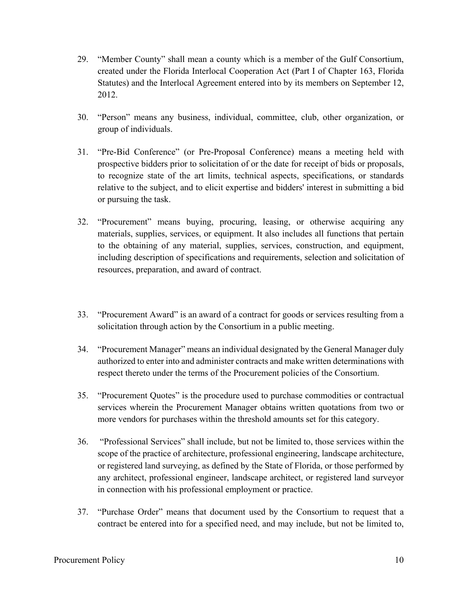- 29. "Member County" shall mean a county which is a member of the Gulf Consortium, created under the Florida Interlocal Cooperation Act (Part I of Chapter 163, Florida Statutes) and the Interlocal Agreement entered into by its members on September 12, 2012.
- 30. "Person" means any business, individual, committee, club, other organization, or group of individuals.
- 31. "Pre-Bid Conference" (or Pre-Proposal Conference) means a meeting held with prospective bidders prior to solicitation of or the date for receipt of bids or proposals, to recognize state of the art limits, technical aspects, specifications, or standards relative to the subject, and to elicit expertise and bidders' interest in submitting a bid or pursuing the task.
- 32. "Procurement" means buying, procuring, leasing, or otherwise acquiring any materials, supplies, services, or equipment. It also includes all functions that pertain to the obtaining of any material, supplies, services, construction, and equipment, including description of specifications and requirements, selection and solicitation of resources, preparation, and award of contract.
- 33. "Procurement Award" is an award of a contract for goods or services resulting from a solicitation through action by the Consortium in a public meeting.
- 34. "Procurement Manager" means an individual designated by the General Manager duly authorized to enter into and administer contracts and make written determinations with respect thereto under the terms of the Procurement policies of the Consortium.
- 35. "Procurement Quotes" is the procedure used to purchase commodities or contractual services wherein the Procurement Manager obtains written quotations from two or more vendors for purchases within the threshold amounts set for this category.
- 36. "Professional Services" shall include, but not be limited to, those services within the scope of the practice of architecture, professional engineering, landscape architecture, or registered land surveying, as defined by the State of Florida, or those performed by any architect, professional engineer, landscape architect, or registered land surveyor in connection with his professional employment or practice.
- 37. "Purchase Order" means that document used by the Consortium to request that a contract be entered into for a specified need, and may include, but not be limited to,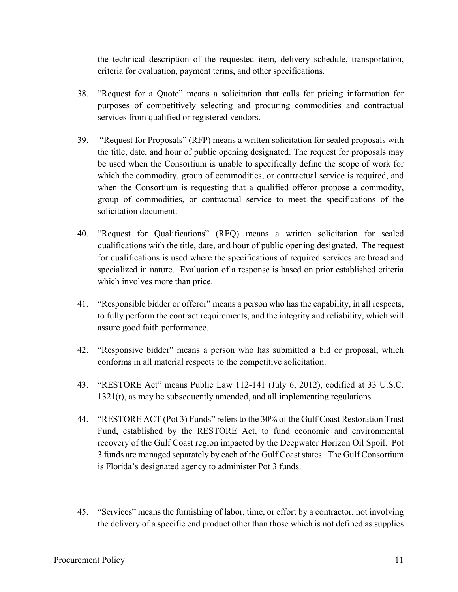the technical description of the requested item, delivery schedule, transportation, criteria for evaluation, payment terms, and other specifications.

- 38. "Request for a Quote" means a solicitation that calls for pricing information for purposes of competitively selecting and procuring commodities and contractual services from qualified or registered vendors.
- 39. "Request for Proposals" (RFP) means a written solicitation for sealed proposals with the title, date, and hour of public opening designated. The request for proposals may be used when the Consortium is unable to specifically define the scope of work for which the commodity, group of commodities, or contractual service is required, and when the Consortium is requesting that a qualified offeror propose a commodity, group of commodities, or contractual service to meet the specifications of the solicitation document.
- 40. "Request for Qualifications" (RFQ) means a written solicitation for sealed qualifications with the title, date, and hour of public opening designated. The request for qualifications is used where the specifications of required services are broad and specialized in nature. Evaluation of a response is based on prior established criteria which involves more than price.
- 41. "Responsible bidder or offeror" means a person who has the capability, in all respects, to fully perform the contract requirements, and the integrity and reliability, which will assure good faith performance.
- 42. "Responsive bidder" means a person who has submitted a bid or proposal, which conforms in all material respects to the competitive solicitation.
- 43. "RESTORE Act" means Public Law 112-141 (July 6, 2012), codified at 33 U.S.C. 1321(t), as may be subsequently amended, and all implementing regulations.
- 44. "RESTORE ACT (Pot 3) Funds" refers to the 30% of the Gulf Coast Restoration Trust Fund, established by the RESTORE Act, to fund economic and environmental recovery of the Gulf Coast region impacted by the Deepwater Horizon Oil Spoil. Pot 3 funds are managed separately by each of the Gulf Coast states. The Gulf Consortium is Florida's designated agency to administer Pot 3 funds.
- 45. "Services" means the furnishing of labor, time, or effort by a contractor, not involving the delivery of a specific end product other than those which is not defined as supplies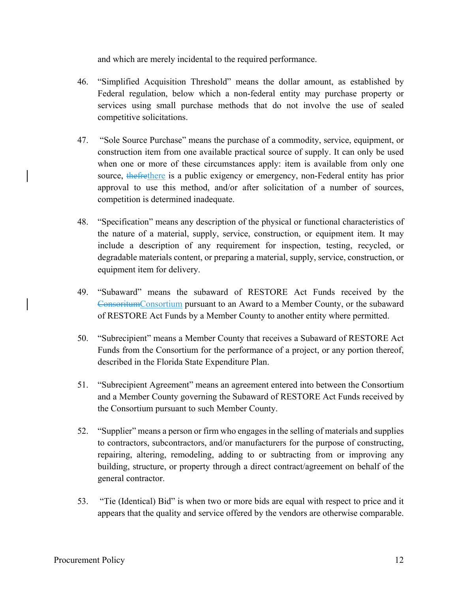and which are merely incidental to the required performance.

- 46. "Simplified Acquisition Threshold" means the dollar amount, as established by Federal regulation, below which a non-federal entity may purchase property or services using small purchase methods that do not involve the use of sealed competitive solicitations.
- 47. "Sole Source Purchase" means the purchase of a commodity, service, equipment, or construction item from one available practical source of supply. It can only be used when one or more of these circumstances apply: item is available from only one source, the frethere is a public exigency or emergency, non-Federal entity has prior approval to use this method, and/or after solicitation of a number of sources, competition is determined inadequate.
- 48. "Specification" means any description of the physical or functional characteristics of the nature of a material, supply, service, construction, or equipment item. It may include a description of any requirement for inspection, testing, recycled, or degradable materials content, or preparing a material, supply, service, construction, or equipment item for delivery.
- 49. "Subaward" means the subaward of RESTORE Act Funds received by the ConsoritumConsortium pursuant to an Award to a Member County, or the subaward of RESTORE Act Funds by a Member County to another entity where permitted.
- 50. "Subrecipient" means a Member County that receives a Subaward of RESTORE Act Funds from the Consortium for the performance of a project, or any portion thereof, described in the Florida State Expenditure Plan.
- 51. "Subrecipient Agreement" means an agreement entered into between the Consortium and a Member County governing the Subaward of RESTORE Act Funds received by the Consortium pursuant to such Member County.
- 52. "Supplier" means a person or firm who engages in the selling of materials and supplies to contractors, subcontractors, and/or manufacturers for the purpose of constructing, repairing, altering, remodeling, adding to or subtracting from or improving any building, structure, or property through a direct contract/agreement on behalf of the general contractor.
- 53. "Tie (Identical) Bid" is when two or more bids are equal with respect to price and it appears that the quality and service offered by the vendors are otherwise comparable.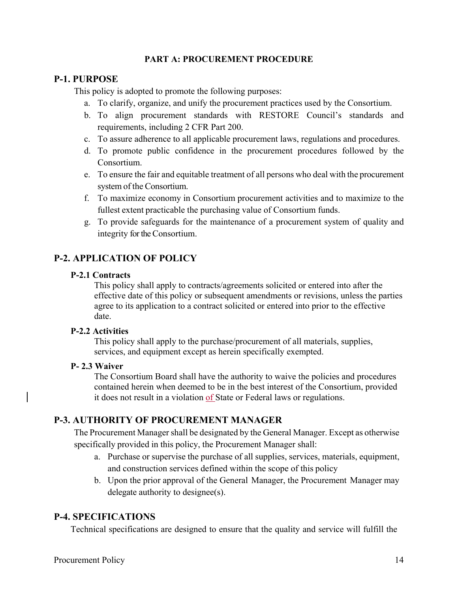## **PART A: PROCUREMENT PROCEDURE**

## **P-1. PURPOSE**

This policy is adopted to promote the following purposes:

- a. To clarify, organize, and unify the procurement practices used by the Consortium.
- b. To align procurement standards with RESTORE Council's standards and requirements, including 2 CFR Part 200.
- c. To assure adherence to all applicable procurement laws, regulations and procedures.
- d. To promote public confidence in the procurement procedures followed by the Consortium.
- e. To ensure the fair and equitable treatment of all persons who deal with the procurement system of the Consortium.
- f. To maximize economy in Consortium procurement activities and to maximize to the fullest extent practicable the purchasing value of Consortium funds.
- g. To provide safeguards for the maintenance of a procurement system of quality and integrity for the Consortium.

## **P-2. APPLICATION OF POLICY**

## **P-2.1 Contracts**

This policy shall apply to contracts/agreements solicited or entered into after the effective date of this policy or subsequent amendments or revisions, unless the parties agree to its application to a contract solicited or entered into prior to the effective date.

## **P-2.2 Activities**

This policy shall apply to the purchase/procurement of all materials, supplies, services, and equipment except as herein specifically exempted.

## **P- 2.3 Waiver**

The Consortium Board shall have the authority to waive the policies and procedures contained herein when deemed to be in the best interest of the Consortium, provided it does not result in a violation of State or Federal laws or regulations.

## **P-3. AUTHORITY OF PROCUREMENT MANAGER**

The Procurement Manager shall be designated by the General Manager. Except as otherwise specifically provided in this policy, the Procurement Manager shall:

- a. Purchase or supervise the purchase of all supplies, services, materials, equipment, and construction services defined within the scope of this policy
- b. Upon the prior approval of the General Manager, the Procurement Manager may delegate authority to designee(s).

## **P-4. SPECIFICATIONS**

Technical specifications are designed to ensure that the quality and service will fulfill the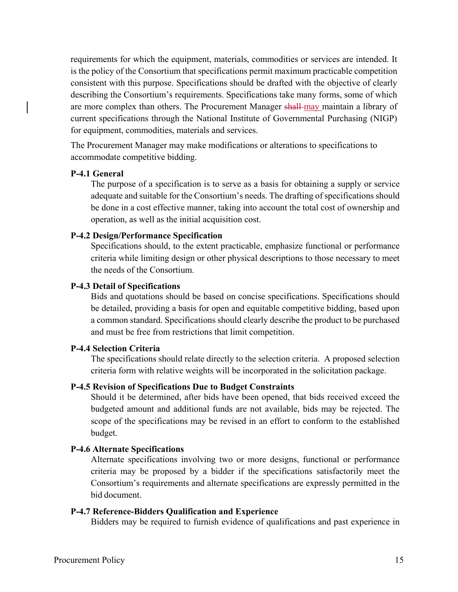requirements for which the equipment, materials, commodities or services are intended. It is the policy of the Consortium that specifications permit maximum practicable competition consistent with this purpose. Specifications should be drafted with the objective of clearly describing the Consortium's requirements. Specifications take many forms, some of which are more complex than others. The Procurement Manager shall may maintain a library of current specifications through the National Institute of Governmental Purchasing (NIGP) for equipment, commodities, materials and services.

The Procurement Manager may make modifications or alterations to specifications to accommodate competitive bidding.

### **P-4.1 General**

The purpose of a specification is to serve as a basis for obtaining a supply or service adequate and suitable for the Consortium's needs. The drafting of specifications should be done in a cost effective manner, taking into account the total cost of ownership and operation, as well as the initial acquisition cost.

### **P-4.2 Design/Performance Specification**

Specifications should, to the extent practicable, emphasize functional or performance criteria while limiting design or other physical descriptions to those necessary to meet the needs of the Consortium.

### **P-4.3 Detail of Specifications**

Bids and quotations should be based on concise specifications. Specifications should be detailed, providing a basis for open and equitable competitive bidding, based upon a common standard. Specifications should clearly describe the product to be purchased and must be free from restrictions that limit competition.

### **P-4.4 Selection Criteria**

The specifications should relate directly to the selection criteria. A proposed selection criteria form with relative weights will be incorporated in the solicitation package.

### **P-4.5 Revision of Specifications Due to Budget Constraints**

Should it be determined, after bids have been opened, that bids received exceed the budgeted amount and additional funds are not available, bids may be rejected. The scope of the specifications may be revised in an effort to conform to the established budget.

### **P-4.6 Alternate Specifications**

Alternate specifications involving two or more designs, functional or performance criteria may be proposed by a bidder if the specifications satisfactorily meet the Consortium's requirements and alternate specifications are expressly permitted in the bid document.

### **P-4.7 Reference-Bidders Qualification and Experience**

Bidders may be required to furnish evidence of qualifications and past experience in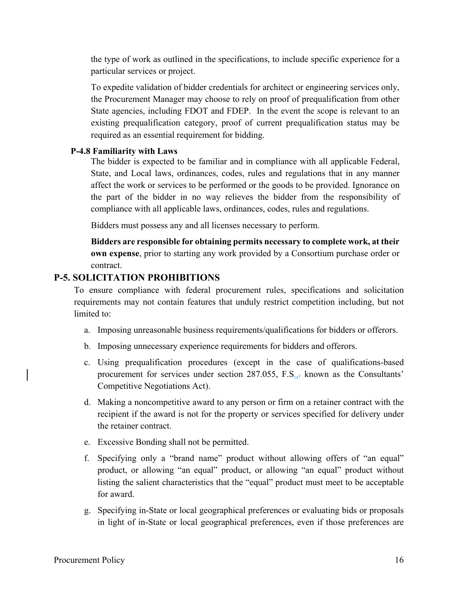the type of work as outlined in the specifications, to include specific experience for a particular services or project.

To expedite validation of bidder credentials for architect or engineering services only, the Procurement Manager may choose to rely on proof of prequalification from other State agencies, including FDOT and FDEP. In the event the scope is relevant to an existing prequalification category, proof of current prequalification status may be required as an essential requirement for bidding.

## **P-4.8 Familiarity with Laws**

The bidder is expected to be familiar and in compliance with all applicable Federal, State, and Local laws, ordinances, codes, rules and regulations that in any manner affect the work or services to be performed or the goods to be provided. Ignorance on the part of the bidder in no way relieves the bidder from the responsibility of compliance with all applicable laws, ordinances, codes, rules and regulations.

Bidders must possess any and all licenses necessary to perform.

**Bidders are responsible for obtaining permits necessary to complete work, at their own expense**, prior to starting any work provided by a Consortium purchase order or contract.

## **P-5. SOLICITATION PROHIBITIONS**

To ensure compliance with federal procurement rules, specifications and solicitation requirements may not contain features that unduly restrict competition including, but not limited to:

- a. Imposing unreasonable business requirements/qualifications for bidders or offerors.
- b. Imposing unnecessary experience requirements for bidders and offerors.
- c. Using prequalification procedures (except in the case of qualifications-based procurement for services under section 287.055, F.S.<sub>15</sub> known as the Consultants' Competitive Negotiations Act).
- d. Making a noncompetitive award to any person or firm on a retainer contract with the recipient if the award is not for the property or services specified for delivery under the retainer contract.
- e. Excessive Bonding shall not be permitted.
- f. Specifying only a "brand name" product without allowing offers of "an equal" product, or allowing "an equal" product, or allowing "an equal" product without listing the salient characteristics that the "equal" product must meet to be acceptable for award.
- g. Specifying in-State or local geographical preferences or evaluating bids or proposals in light of in-State or local geographical preferences, even if those preferences are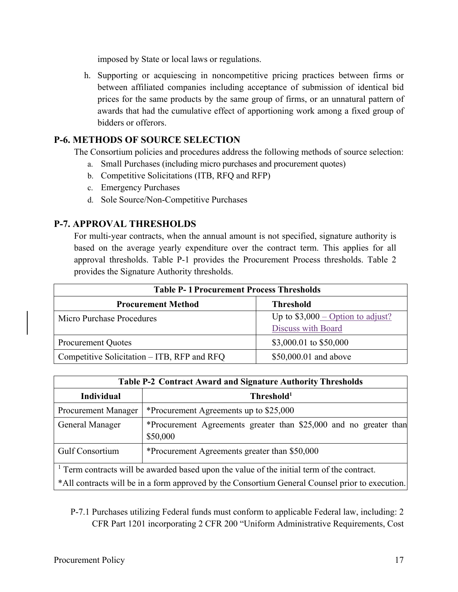imposed by State or local laws or regulations.

h. Supporting or acquiescing in noncompetitive pricing practices between firms or between affiliated companies including acceptance of submission of identical bid prices for the same products by the same group of firms, or an unnatural pattern of awards that had the cumulative effect of apportioning work among a fixed group of bidders or offerors.

## **P-6. METHODS OF SOURCE SELECTION**

The Consortium policies and procedures address the following methods of source selection:

- a. Small Purchases (including micro purchases and procurement quotes)
- b. Competitive Solicitations (ITB, RFQ and RFP)
- c. Emergency Purchases
- d. Sole Source/Non-Competitive Purchases

## **P-7. APPROVAL THRESHOLDS**

For multi-year contracts, when the annual amount is not specified, signature authority is based on the average yearly expenditure over the contract term. This applies for all approval thresholds. Table P-1 provides the Procurement Process thresholds. Table 2 provides the Signature Authority thresholds.

| <b>Table P-1 Procurement Process Thresholds</b> |                                                          |  |
|-------------------------------------------------|----------------------------------------------------------|--|
| <b>Procurement Method</b>                       | <b>Threshold</b>                                         |  |
| Micro Purchase Procedures                       | Up to $$3,000$ – Option to adjust?<br>Discuss with Board |  |
|                                                 |                                                          |  |
| <b>Procurement Quotes</b>                       | \$3,000.01 to \$50,000                                   |  |
| Competitive Solicitation – ITB, RFP and RFQ     | \$50,000.01 and above                                    |  |

| <b>Table P-2 Contract Award and Signature Authority Thresholds</b>                                    |                                                                               |  |
|-------------------------------------------------------------------------------------------------------|-------------------------------------------------------------------------------|--|
| <b>Individual</b>                                                                                     | Threshold <sup>1</sup>                                                        |  |
| Procurement Manager                                                                                   | *Procurement Agreements up to \$25,000                                        |  |
| General Manager                                                                                       | *Procurement Agreements greater than \$25,000 and no greater than<br>\$50,000 |  |
| Gulf Consortium                                                                                       | *Procurement Agreements greater than \$50,000                                 |  |
| <sup>1</sup> Term contracts will be awarded based upon the value of the initial term of the contract. |                                                                               |  |
| *All contracts will be in a form approved by the Consortium General Counsel prior to execution.       |                                                                               |  |

P-7.1 Purchases utilizing Federal funds must conform to applicable Federal law, including: 2 CFR Part 1201 incorporating 2 CFR 200 "Uniform Administrative Requirements, Cost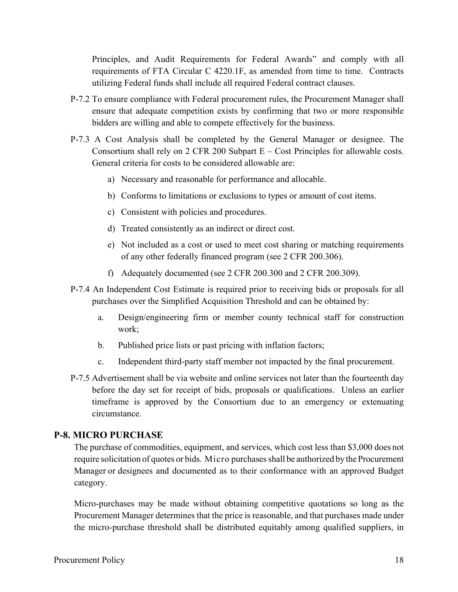Principles, and Audit Requirements for Federal Awards" and comply with all requirements of FTA Circular C 4220.1F, as amended from time to time. Contracts utilizing Federal funds shall include all required Federal contract clauses.

- P-7.2 To ensure compliance with Federal procurement rules, the Procurement Manager shall ensure that adequate competition exists by confirming that two or more responsible bidders are willing and able to compete effectively for the business.
- P-7.3 A Cost Analysis shall be completed by the General Manager or designee. The Consortium shall rely on 2 CFR 200 Subpart E – Cost Principles for allowable costs. General criteria for costs to be considered allowable are:
	- a) Necessary and reasonable for performance and allocable.
	- b) Conforms to limitations or exclusions to types or amount of cost items.
	- c) Consistent with policies and procedures.
	- d) Treated consistently as an indirect or direct cost.
	- e) Not included as a cost or used to meet cost sharing or matching requirements of any other federally financed program (see 2 CFR 200.306).
	- f) Adequately documented (see 2 CFR 200.300 and 2 CFR 200.309).
- P-7.4 An Independent Cost Estimate is required prior to receiving bids or proposals for all purchases over the Simplified Acquisition Threshold and can be obtained by:
	- a. Design/engineering firm or member county technical staff for construction work;
	- b. Published price lists or past pricing with inflation factors;
	- c. Independent third-party staff member not impacted by the final procurement.
- P-7.5 Advertisement shall be via website and online services not later than the fourteenth day before the day set for receipt of bids, proposals or qualifications. Unless an earlier timeframe is approved by the Consortium due to an emergency or extenuating circumstance.

## **P-8. MICRO PURCHASE**

The purchase of commodities, equipment, and services, which cost less than \$3,000 does not require solicitation of quotes or bids. Micro purchases shall be authorized by the Procurement Manager or designees and documented as to their conformance with an approved Budget category.

Micro-purchases may be made without obtaining competitive quotations so long as the Procurement Manager determines that the price is reasonable, and that purchases made under the micro-purchase threshold shall be distributed equitably among qualified suppliers, in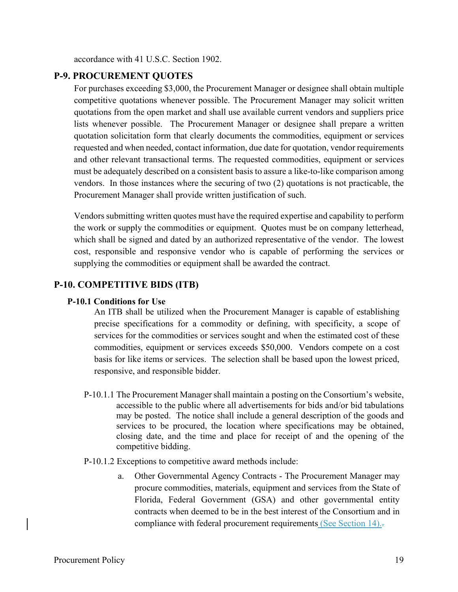accordance with 41 U.S.C. Section 1902.

## **P-9. PROCUREMENT QUOTES**

For purchases exceeding \$3,000, the Procurement Manager or designee shall obtain multiple competitive quotations whenever possible. The Procurement Manager may solicit written quotations from the open market and shall use available current vendors and suppliers price lists whenever possible. The Procurement Manager or designee shall prepare a written quotation solicitation form that clearly documents the commodities, equipment or services requested and when needed, contact information, due date for quotation, vendor requirements and other relevant transactional terms. The requested commodities, equipment or services must be adequately described on a consistent basis to assure a like-to-like comparison among vendors. In those instances where the securing of two (2) quotations is not practicable, the Procurement Manager shall provide written justification of such.

Vendors submitting written quotes must have the required expertise and capability to perform the work or supply the commodities or equipment. Quotes must be on company letterhead, which shall be signed and dated by an authorized representative of the vendor. The lowest cost, responsible and responsive vendor who is capable of performing the services or supplying the commodities or equipment shall be awarded the contract.

## **P-10. COMPETITIVE BIDS (ITB)**

## **P-10.1 Conditions for Use**

An ITB shall be utilized when the Procurement Manager is capable of establishing precise specifications for a commodity or defining, with specificity, a scope of services for the commodities or services sought and when the estimated cost of these commodities, equipment or services exceeds \$50,000. Vendors compete on a cost basis for like items or services. The selection shall be based upon the lowest priced, responsive, and responsible bidder.

- P-10.1.1 The Procurement Manager shall maintain a posting on the Consortium's website, accessible to the public where all advertisements for bids and/or bid tabulations may be posted. The notice shall include a general description of the goods and services to be procured, the location where specifications may be obtained, closing date, and the time and place for receipt of and the opening of the competitive bidding.
- P-10.1.2 Exceptions to competitive award methods include:
	- a. Other Governmental Agency Contracts The Procurement Manager may procure commodities, materials, equipment and services from the State of Florida, Federal Government (GSA) and other governmental entity contracts when deemed to be in the best interest of the Consortium and in compliance with federal procurement requirements (See Section 14).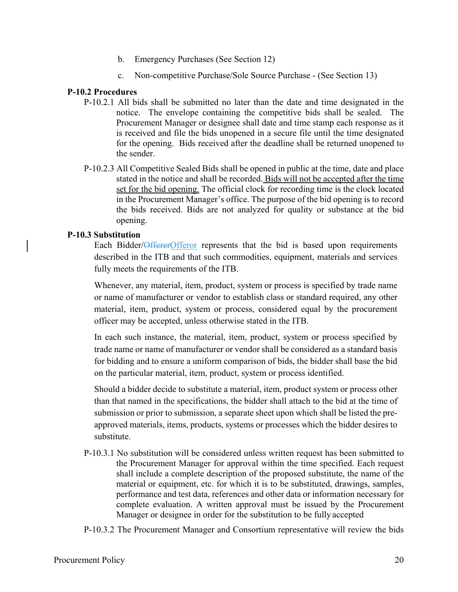- b. Emergency Purchases (See Section 12)
- c. Non-competitive Purchase/Sole Source Purchase (See Section 13)

## **P-10.2 Procedures**

- P-10.2.1 All bids shall be submitted no later than the date and time designated in the notice. The envelope containing the competitive bids shall be sealed. The Procurement Manager or designee shall date and time stamp each response as it is received and file the bids unopened in a secure file until the time designated for the opening. Bids received after the deadline shall be returned unopened to the sender.
- P-10.2.3 All Competitive Sealed Bids shall be opened in public at the time, date and place stated in the notice and shall be recorded. Bids will not be accepted after the time set for the bid opening. The official clock for recording time is the clock located in the Procurement Manager's office. The purpose of the bid opening is to record the bids received. Bids are not analyzed for quality or substance at the bid opening.

## **P-10.3 Substitution**

Each Bidder/OffererOfferor represents that the bid is based upon requirements described in the ITB and that such commodities, equipment, materials and services fully meets the requirements of the ITB.

Whenever, any material, item, product, system or process is specified by trade name or name of manufacturer or vendor to establish class or standard required, any other material, item, product, system or process, considered equal by the procurement officer may be accepted, unless otherwise stated in the ITB.

In each such instance, the material, item, product, system or process specified by trade name or name of manufacturer or vendor shall be considered as a standard basis for bidding and to ensure a uniform comparison of bids, the bidder shall base the bid on the particular material, item, product, system or process identified.

Should a bidder decide to substitute a material, item, product system or process other than that named in the specifications, the bidder shall attach to the bid at the time of submission or prior to submission, a separate sheet upon which shall be listed the preapproved materials, items, products, systems or processes which the bidder desires to substitute.

- P-10.3.1 No substitution will be considered unless written request has been submitted to the Procurement Manager for approval within the time specified. Each request shall include a complete description of the proposed substitute, the name of the material or equipment, etc. for which it is to be substituted, drawings, samples, performance and test data, references and other data or information necessary for complete evaluation. A written approval must be issued by the Procurement Manager or designee in order for the substitution to be fully accepted
- P-10.3.2 The Procurement Manager and Consortium representative will review the bids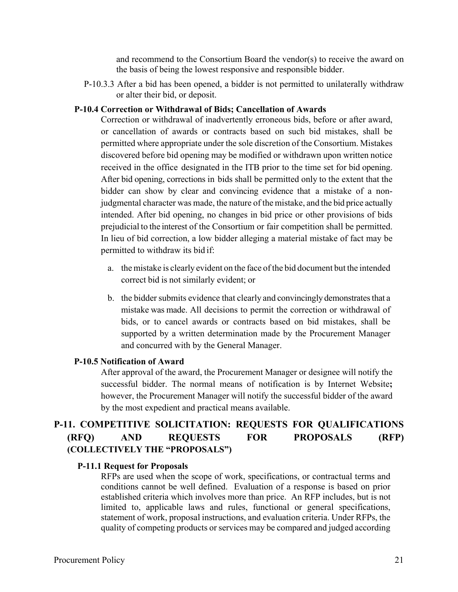and recommend to the Consortium Board the vendor(s) to receive the award on the basis of being the lowest responsive and responsible bidder.

P-10.3.3 After a bid has been opened, a bidder is not permitted to unilaterally withdraw or alter their bid, or deposit.

### **P-10.4 Correction or Withdrawal of Bids; Cancellation of Awards**

Correction or withdrawal of inadvertently erroneous bids, before or after award, or cancellation of awards or contracts based on such bid mistakes, shall be permitted where appropriate under the sole discretion of the Consortium. Mistakes discovered before bid opening may be modified or withdrawn upon written notice received in the office designated in the ITB prior to the time set for bid opening. After bid opening, corrections in bids shall be permitted only to the extent that the bidder can show by clear and convincing evidence that a mistake of a nonjudgmental character was made, the nature of the mistake, and the bid price actually intended. After bid opening, no changes in bid price or other provisions of bids prejudicial to the interest of the Consortium or fair competition shall be permitted. In lieu of bid correction, a low bidder alleging a material mistake of fact may be permitted to withdraw its bid if:

- a. the mistake is clearly evident on the face of the bid document but the intended correct bid is not similarly evident; or
- b. the bidder submits evidence that clearly and convincingly demonstrates that a mistake was made. All decisions to permit the correction or withdrawal of bids, or to cancel awards or contracts based on bid mistakes, shall be supported by a written determination made by the Procurement Manager and concurred with by the General Manager.

### **P-10.5 Notification of Award**

After approval of the award, the Procurement Manager or designee will notify the successful bidder. The normal means of notification is by Internet Website**;**  however, the Procurement Manager will notify the successful bidder of the award by the most expedient and practical means available.

## **P-11. COMPETITIVE SOLICITATION: REQUESTS FOR QUALIFICATIONS (RFQ) AND REQUESTS FOR PROPOSALS (RFP) (COLLECTIVELY THE "PROPOSALS")**

#### **P-11.1 Request for Proposals**

RFPs are used when the scope of work, specifications, or contractual terms and conditions cannot be well defined. Evaluation of a response is based on prior established criteria which involves more than price. An RFP includes, but is not limited to, applicable laws and rules, functional or general specifications, statement of work, proposal instructions, and evaluation criteria. Under RFPs, the quality of competing products or services may be compared and judged according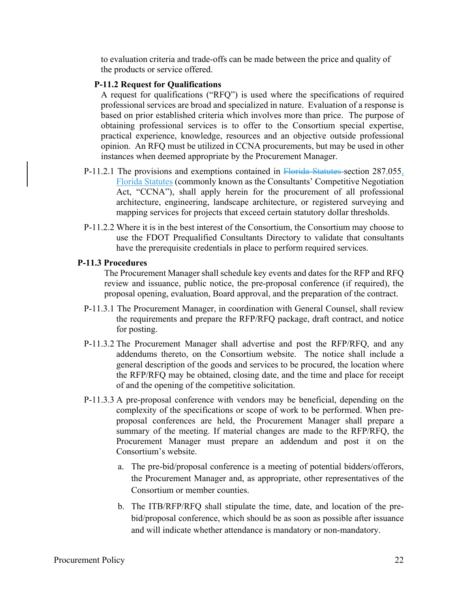to evaluation criteria and trade-offs can be made between the price and quality of the products or service offered.

### **P-11.2 Request for Qualifications**

A request for qualifications ("RFQ") is used where the specifications of required professional services are broad and specialized in nature. Evaluation of a response is based on prior established criteria which involves more than price. The purpose of obtaining professional services is to offer to the Consortium special expertise, practical experience, knowledge, resources and an objective outside professional opinion. An RFQ must be utilized in CCNA procurements, but may be used in other instances when deemed appropriate by the Procurement Manager.

- P-11.2.1 The provisions and exemptions contained in Florida Statutes section 287.055, Florida Statutes (commonly known as the Consultants' Competitive Negotiation Act, "CCNA"), shall apply herein for the procurement of all professional architecture, engineering, landscape architecture, or registered surveying and mapping services for projects that exceed certain statutory dollar thresholds.
- P-11.2.2 Where it is in the best interest of the Consortium, the Consortium may choose to use the FDOT Prequalified Consultants Directory to validate that consultants have the prerequisite credentials in place to perform required services.

## **P-11.3 Procedures**

The Procurement Manager shall schedule key events and dates for the RFP and RFQ review and issuance, public notice, the pre-proposal conference (if required), the proposal opening, evaluation, Board approval, and the preparation of the contract.

- P-11.3.1 The Procurement Manager, in coordination with General Counsel, shall review the requirements and prepare the RFP/RFQ package, draft contract, and notice for posting.
- P-11.3.2 The Procurement Manager shall advertise and post the RFP/RFQ, and any addendums thereto, on the Consortium website. The notice shall include a general description of the goods and services to be procured, the location where the RFP/RFQ may be obtained, closing date, and the time and place for receipt of and the opening of the competitive solicitation.
- P-11.3.3 A pre-proposal conference with vendors may be beneficial, depending on the complexity of the specifications or scope of work to be performed. When preproposal conferences are held, the Procurement Manager shall prepare a summary of the meeting. If material changes are made to the RFP/RFQ, the Procurement Manager must prepare an addendum and post it on the Consortium's website.
	- a. The pre-bid/proposal conference is a meeting of potential bidders/offerors, the Procurement Manager and, as appropriate, other representatives of the Consortium or member counties.
	- b. The ITB/RFP/RFQ shall stipulate the time, date, and location of the prebid/proposal conference, which should be as soon as possible after issuance and will indicate whether attendance is mandatory or non-mandatory.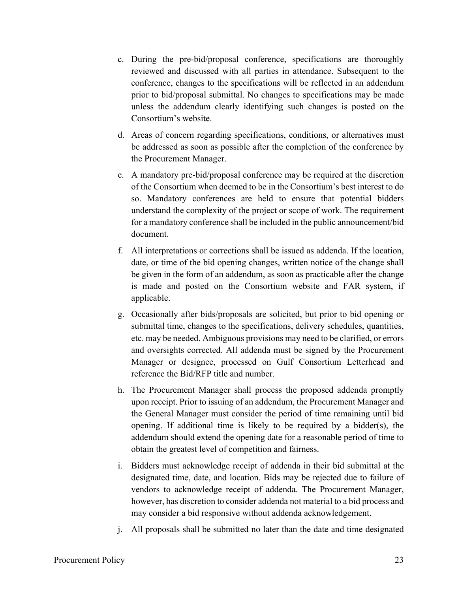- c. During the pre-bid/proposal conference, specifications are thoroughly reviewed and discussed with all parties in attendance. Subsequent to the conference, changes to the specifications will be reflected in an addendum prior to bid/proposal submittal. No changes to specifications may be made unless the addendum clearly identifying such changes is posted on the Consortium's website.
- d. Areas of concern regarding specifications, conditions, or alternatives must be addressed as soon as possible after the completion of the conference by the Procurement Manager.
- e. A mandatory pre-bid/proposal conference may be required at the discretion of the Consortium when deemed to be in the Consortium's best interest to do so. Mandatory conferences are held to ensure that potential bidders understand the complexity of the project or scope of work. The requirement for a mandatory conference shall be included in the public announcement/bid document.
- f. All interpretations or corrections shall be issued as addenda. If the location, date, or time of the bid opening changes, written notice of the change shall be given in the form of an addendum, as soon as practicable after the change is made and posted on the Consortium website and FAR system, if applicable.
- g. Occasionally after bids/proposals are solicited, but prior to bid opening or submittal time, changes to the specifications, delivery schedules, quantities, etc. may be needed. Ambiguous provisions may need to be clarified, or errors and oversights corrected. All addenda must be signed by the Procurement Manager or designee, processed on Gulf Consortium Letterhead and reference the Bid/RFP title and number.
- h. The Procurement Manager shall process the proposed addenda promptly upon receipt. Prior to issuing of an addendum, the Procurement Manager and the General Manager must consider the period of time remaining until bid opening. If additional time is likely to be required by a bidder(s), the addendum should extend the opening date for a reasonable period of time to obtain the greatest level of competition and fairness.
- i. Bidders must acknowledge receipt of addenda in their bid submittal at the designated time, date, and location. Bids may be rejected due to failure of vendors to acknowledge receipt of addenda. The Procurement Manager, however, has discretion to consider addenda not material to a bid process and may consider a bid responsive without addenda acknowledgement.
- j. All proposals shall be submitted no later than the date and time designated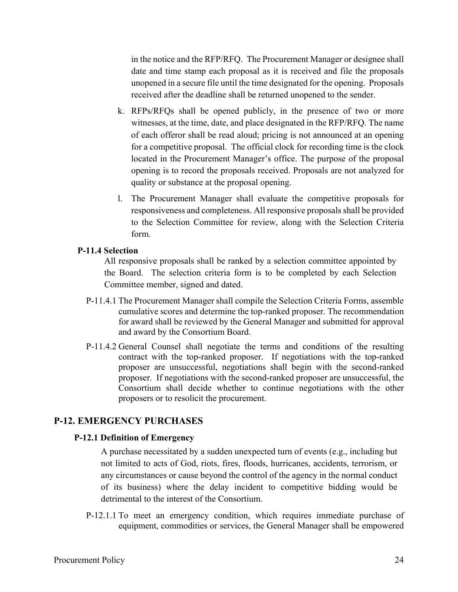in the notice and the RFP/RFQ. The Procurement Manager or designee shall date and time stamp each proposal as it is received and file the proposals unopened in a secure file until the time designated for the opening. Proposals received after the deadline shall be returned unopened to the sender.

- k. RFPs/RFQs shall be opened publicly, in the presence of two or more witnesses, at the time, date, and place designated in the RFP/RFQ. The name of each offeror shall be read aloud; pricing is not announced at an opening for a competitive proposal. The official clock for recording time is the clock located in the Procurement Manager's office. The purpose of the proposal opening is to record the proposals received. Proposals are not analyzed for quality or substance at the proposal opening.
- l. The Procurement Manager shall evaluate the competitive proposals for responsiveness and completeness. All responsive proposals shall be provided to the Selection Committee for review, along with the Selection Criteria form.

## **P-11.4 Selection**

All responsive proposals shall be ranked by a selection committee appointed by the Board. The selection criteria form is to be completed by each Selection Committee member, signed and dated.

- P-11.4.1 The Procurement Manager shall compile the Selection Criteria Forms, assemble cumulative scores and determine the top-ranked proposer. The recommendation for award shall be reviewed by the General Manager and submitted for approval and award by the Consortium Board.
- P-11.4.2 General Counsel shall negotiate the terms and conditions of the resulting contract with the top-ranked proposer. If negotiations with the top-ranked proposer are unsuccessful, negotiations shall begin with the second-ranked proposer. If negotiations with the second-ranked proposer are unsuccessful, the Consortium shall decide whether to continue negotiations with the other proposers or to resolicit the procurement.

## **P-12. EMERGENCY PURCHASES**

### **P-12.1 Definition of Emergency**

A purchase necessitated by a sudden unexpected turn of events (e.g., including but not limited to acts of God, riots, fires, floods, hurricanes, accidents, terrorism, or any circumstances or cause beyond the control of the agency in the normal conduct of its business) where the delay incident to competitive bidding would be detrimental to the interest of the Consortium.

P-12.1.1 To meet an emergency condition, which requires immediate purchase of equipment, commodities or services, the General Manager shall be empowered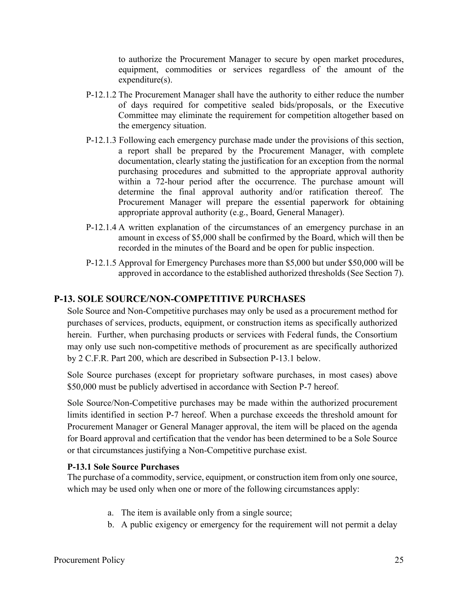to authorize the Procurement Manager to secure by open market procedures, equipment, commodities or services regardless of the amount of the expenditure(s).

- P-12.1.2 The Procurement Manager shall have the authority to either reduce the number of days required for competitive sealed bids/proposals, or the Executive Committee may eliminate the requirement for competition altogether based on the emergency situation.
- P-12.1.3 Following each emergency purchase made under the provisions of this section, a report shall be prepared by the Procurement Manager, with complete documentation, clearly stating the justification for an exception from the normal purchasing procedures and submitted to the appropriate approval authority within a 72-hour period after the occurrence. The purchase amount will determine the final approval authority and/or ratification thereof. The Procurement Manager will prepare the essential paperwork for obtaining appropriate approval authority (e.g., Board, General Manager).
- P-12.1.4 A written explanation of the circumstances of an emergency purchase in an amount in excess of \$5,000 shall be confirmed by the Board, which will then be recorded in the minutes of the Board and be open for public inspection.
- P-12.1.5 Approval for Emergency Purchases more than \$5,000 but under \$50,000 will be approved in accordance to the established authorized thresholds (See Section 7).

## **P-13. SOLE SOURCE/NON-COMPETITIVE PURCHASES**

Sole Source and Non-Competitive purchases may only be used as a procurement method for purchases of services, products, equipment, or construction items as specifically authorized herein. Further, when purchasing products or services with Federal funds, the Consortium may only use such non-competitive methods of procurement as are specifically authorized by 2 C.F.R. Part 200, which are described in Subsection P-13.1 below.

Sole Source purchases (except for proprietary software purchases, in most cases) above \$50,000 must be publicly advertised in accordance with Section P-7 hereof.

Sole Source/Non-Competitive purchases may be made within the authorized procurement limits identified in section P-7 hereof. When a purchase exceeds the threshold amount for Procurement Manager or General Manager approval, the item will be placed on the agenda for Board approval and certification that the vendor has been determined to be a Sole Source or that circumstances justifying a Non-Competitive purchase exist.

## **P-13.1 Sole Source Purchases**

The purchase of a commodity, service, equipment, or construction item from only one source, which may be used only when one or more of the following circumstances apply:

- a. The item is available only from a single source;
- b. A public exigency or emergency for the requirement will not permit a delay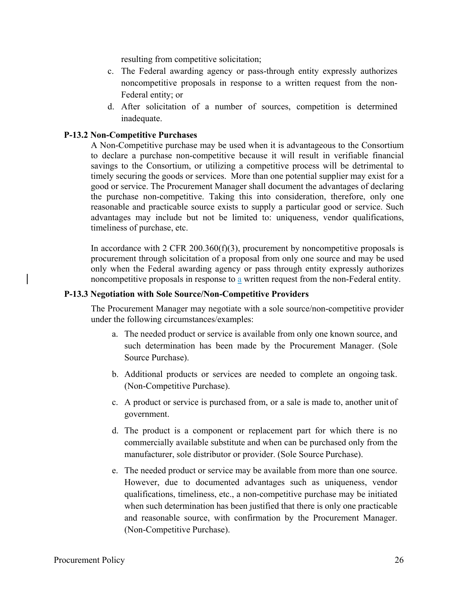resulting from competitive solicitation;

- c. The Federal awarding agency or pass-through entity expressly authorizes noncompetitive proposals in response to a written request from the non-Federal entity; or
- d. After solicitation of a number of sources, competition is determined inadequate.

## **P-13.2 Non-Competitive Purchases**

A Non-Competitive purchase may be used when it is advantageous to the Consortium to declare a purchase non-competitive because it will result in verifiable financial savings to the Consortium, or utilizing a competitive process will be detrimental to timely securing the goods or services. More than one potential supplier may exist for a good or service. The Procurement Manager shall document the advantages of declaring the purchase non-competitive. Taking this into consideration, therefore, only one reasonable and practicable source exists to supply a particular good or service. Such advantages may include but not be limited to: uniqueness, vendor qualifications, timeliness of purchase, etc.

In accordance with 2 CFR 200.360(f)(3), procurement by noncompetitive proposals is procurement through solicitation of a proposal from only one source and may be used only when the Federal awarding agency or pass through entity expressly authorizes noncompetitive proposals in response to a written request from the non-Federal entity.

### **P-13.3 Negotiation with Sole Source/Non-Competitive Providers**

The Procurement Manager may negotiate with a sole source/non-competitive provider under the following circumstances/examples:

- a. The needed product or service is available from only one known source, and such determination has been made by the Procurement Manager. (Sole Source Purchase).
- b. Additional products or services are needed to complete an ongoing task. (Non-Competitive Purchase).
- c. A product or service is purchased from, or a sale is made to, another unit of government.
- d. The product is a component or replacement part for which there is no commercially available substitute and when can be purchased only from the manufacturer, sole distributor or provider. (Sole Source Purchase).
- e. The needed product or service may be available from more than one source. However, due to documented advantages such as uniqueness, vendor qualifications, timeliness, etc., a non-competitive purchase may be initiated when such determination has been justified that there is only one practicable and reasonable source, with confirmation by the Procurement Manager. (Non-Competitive Purchase).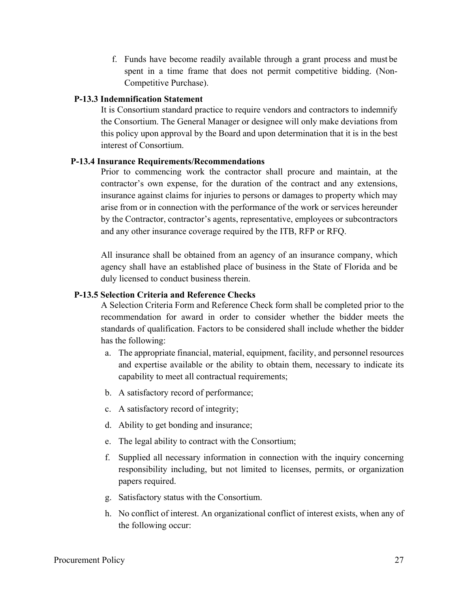f. Funds have become readily available through a grant process and must be spent in a time frame that does not permit competitive bidding. (Non-Competitive Purchase).

# **P-13.3 Indemnification Statement**

It is Consortium standard practice to require vendors and contractors to indemnify the Consortium. The General Manager or designee will only make deviations from this policy upon approval by the Board and upon determination that it is in the best interest of Consortium.

### **P-13.4 Insurance Requirements/Recommendations**

Prior to commencing work the contractor shall procure and maintain, at the contractor's own expense, for the duration of the contract and any extensions, insurance against claims for injuries to persons or damages to property which may arise from or in connection with the performance of the work or services hereunder by the Contractor, contractor's agents, representative, employees or subcontractors and any other insurance coverage required by the ITB, RFP or RFQ.

All insurance shall be obtained from an agency of an insurance company, which agency shall have an established place of business in the State of Florida and be duly licensed to conduct business therein.

# **P-13.5 Selection Criteria and Reference Checks**

A Selection Criteria Form and Reference Check form shall be completed prior to the recommendation for award in order to consider whether the bidder meets the standards of qualification. Factors to be considered shall include whether the bidder has the following:

- a. The appropriate financial, material, equipment, facility, and personnel resources and expertise available or the ability to obtain them, necessary to indicate its capability to meet all contractual requirements;
- b. A satisfactory record of performance;
- c. A satisfactory record of integrity;
- d. Ability to get bonding and insurance;
- e. The legal ability to contract with the Consortium;
- f. Supplied all necessary information in connection with the inquiry concerning responsibility including, but not limited to licenses, permits, or organization papers required.
- g. Satisfactory status with the Consortium.
- h. No conflict of interest. An organizational conflict of interest exists, when any of the following occur: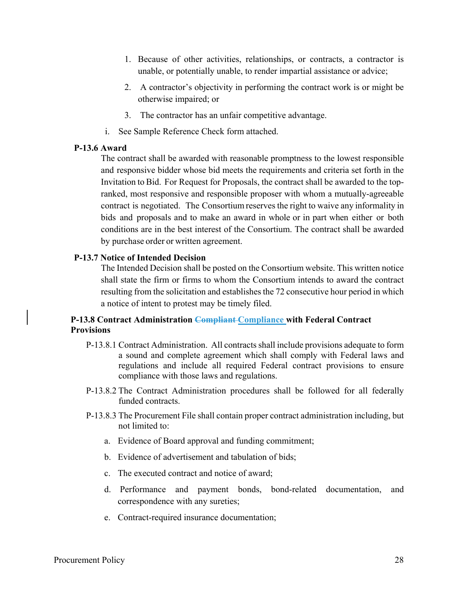- 1. Because of other activities, relationships, or contracts, a contractor is unable, or potentially unable, to render impartial assistance or advice;
- 2. A contractor's objectivity in performing the contract work is or might be otherwise impaired; or
- 3. The contractor has an unfair competitive advantage.
- i. See Sample Reference Check form attached.

# **P-13.6 Award**

The contract shall be awarded with reasonable promptness to the lowest responsible and responsive bidder whose bid meets the requirements and criteria set forth in the Invitation to Bid. For Request for Proposals, the contract shall be awarded to the topranked, most responsive and responsible proposer with whom a mutually-agreeable contract is negotiated. The Consortium reserves the right to waive any informality in bids and proposals and to make an award in whole or in part when either or both conditions are in the best interest of the Consortium. The contract shall be awarded by purchase order or written agreement.

# **P-13.7 Notice of Intended Decision**

The Intended Decision shall be posted on the Consortium website. This written notice shall state the firm or firms to whom the Consortium intends to award the contract resulting from the solicitation and establishes the 72 consecutive hour period in which a notice of intent to protest may be timely filed.

# **P-13.8 Contract Administration Compliant Compliance with Federal Contract Provisions**

- P-13.8.1 Contract Administration. All contracts shall include provisions adequate to form a sound and complete agreement which shall comply with Federal laws and regulations and include all required Federal contract provisions to ensure compliance with those laws and regulations.
- P-13.8.2 The Contract Administration procedures shall be followed for all federally funded contracts.
- P-13.8.3 The Procurement File shall contain proper contract administration including, but not limited to:
	- a. Evidence of Board approval and funding commitment;
	- b. Evidence of advertisement and tabulation of bids;
	- c. The executed contract and notice of award;
	- d. Performance and payment bonds, bond-related documentation, and correspondence with any sureties;
	- e. Contract-required insurance documentation;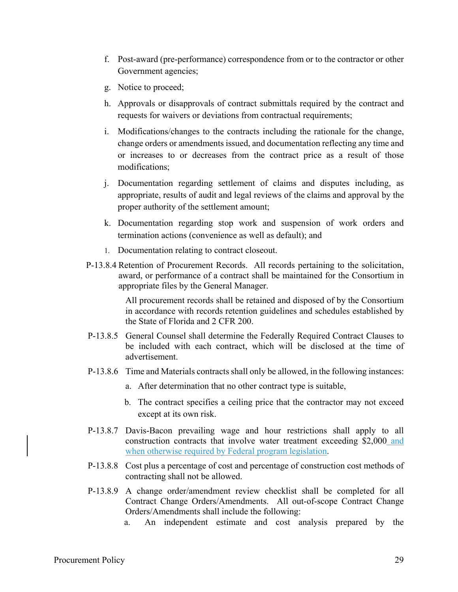- f. Post-award (pre-performance) correspondence from or to the contractor or other Government agencies;
- g. Notice to proceed;
- h. Approvals or disapprovals of contract submittals required by the contract and requests for waivers or deviations from contractual requirements;
- i. Modifications/changes to the contracts including the rationale for the change, change orders or amendments issued, and documentation reflecting any time and or increases to or decreases from the contract price as a result of those modifications;
- j. Documentation regarding settlement of claims and disputes including, as appropriate, results of audit and legal reviews of the claims and approval by the proper authority of the settlement amount;
- k. Documentation regarding stop work and suspension of work orders and termination actions (convenience as well as default); and
- 1. Documentation relating to contract closeout.
- P-13.8.4 Retention of Procurement Records. All records pertaining to the solicitation, award, or performance of a contract shall be maintained for the Consortium in appropriate files by the General Manager.

All procurement records shall be retained and disposed of by the Consortium in accordance with records retention guidelines and schedules established by the State of Florida and 2 CFR 200.

- P-13.8.5 General Counsel shall determine the Federally Required Contract Clauses to be included with each contract, which will be disclosed at the time of advertisement.
- P-13.8.6 Time and Materials contracts shall only be allowed, in the following instances:
	- a. After determination that no other contract type is suitable,
	- b. The contract specifies a ceiling price that the contractor may not exceed except at its own risk.
- P-13.8.7 Davis-Bacon prevailing wage and hour restrictions shall apply to all construction contracts that involve water treatment exceeding \$2,000 and when otherwise required by Federal program legislation.
- P-13.8.8 Cost plus a percentage of cost and percentage of construction cost methods of contracting shall not be allowed.
- P-13.8.9 A change order/amendment review checklist shall be completed for all Contract Change Orders/Amendments. All out-of-scope Contract Change Orders/Amendments shall include the following:
	- a. An independent estimate and cost analysis prepared by the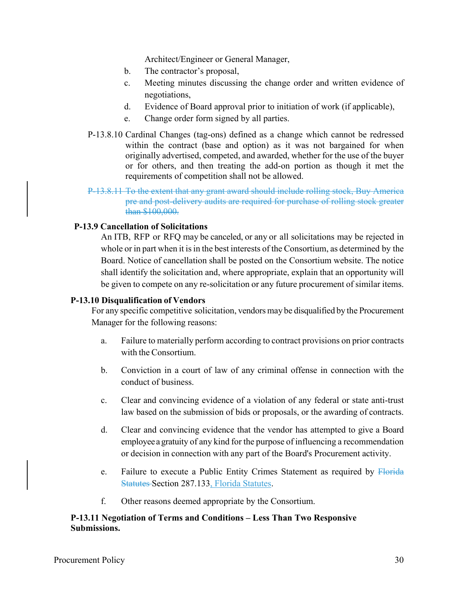Architect/Engineer or General Manager,

- b. The contractor's proposal,
- c. Meeting minutes discussing the change order and written evidence of negotiations,
- d. Evidence of Board approval prior to initiation of work (if applicable),
- e. Change order form signed by all parties.
- P-13.8.10 Cardinal Changes (tag-ons) defined as a change which cannot be redressed within the contract (base and option) as it was not bargained for when originally advertised, competed, and awarded, whether for the use of the buyer or for others, and then treating the add-on portion as though it met the requirements of competition shall not be allowed.
- P-13.8.11 To the extent that any grant award should include rolling stock, Buy America pre and post-delivery audits are required for purchase of rolling stock greater than \$100,000.

# **P-13.9 Cancellation of Solicitations**

An ITB, RFP or RFQ may be canceled, or any or all solicitations may be rejected in whole or in part when it is in the best interests of the Consortium, as determined by the Board. Notice of cancellation shall be posted on the Consortium website. The notice shall identify the solicitation and, where appropriate, explain that an opportunity will be given to compete on any re-solicitation or any future procurement of similar items.

### **P-13.10 Disqualification of Vendors**

For any specific competitive solicitation, vendors may be disqualified by the Procurement Manager for the following reasons:

- a. Failure to materially perform according to contract provisions on prior contracts with the Consortium.
- b. Conviction in a court of law of any criminal offense in connection with the conduct of business.
- c. Clear and convincing evidence of a violation of any federal or state anti-trust law based on the submission of bids or proposals, or the awarding of contracts.
- d. Clear and convincing evidence that the vendor has attempted to give a Board employee a gratuity of any kind for the purpose of influencing a recommendation or decision in connection with any part of the Board's Procurement activity.
- e. Failure to execute a Public Entity Crimes Statement as required by Florida Statutes Section 287.133, Florida Statutes.
- f. Other reasons deemed appropriate by the Consortium.

# **P-13.11 Negotiation of Terms and Conditions – Less Than Two Responsive Submissions.**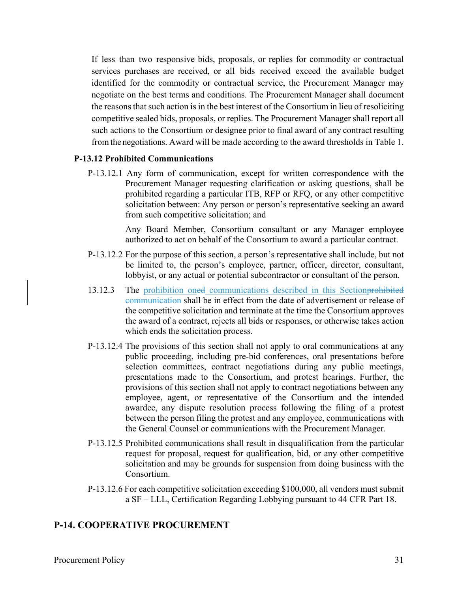If less than two responsive bids, proposals, or replies for commodity or contractual services purchases are received, or all bids received exceed the available budget identified for the commodity or contractual service, the Procurement Manager may negotiate on the best terms and conditions. The Procurement Manager shall document the reasons that such action is in the best interest of the Consortium in lieu of resoliciting competitive sealed bids, proposals, or replies. The Procurement Manager shall report all such actions to the Consortium or designee prior to final award of any contract resulting from the negotiations. Award will be made according to the award thresholds in Table 1.

# **P-13.12 Prohibited Communications**

P-13.12.1 Any form of communication, except for written correspondence with the Procurement Manager requesting clarification or asking questions, shall be prohibited regarding a particular ITB, RFP or RFQ, or any other competitive solicitation between: Any person or person's representative seeking an award from such competitive solicitation; and

> Any Board Member, Consortium consultant or any Manager employee authorized to act on behalf of the Consortium to award a particular contract.

- P-13.12.2 For the purpose of this section, a person's representative shall include, but not be limited to, the person's employee, partner, officer, director, consultant, lobbyist, or any actual or potential subcontractor or consultant of the person.
- 13.12.3 The prohibition oned communications described in this Section prohibited communication shall be in effect from the date of advertisement or release of the competitive solicitation and terminate at the time the Consortium approves the award of a contract, rejects all bids or responses, or otherwise takes action which ends the solicitation process.
- P-13.12.4 The provisions of this section shall not apply to oral communications at any public proceeding, including pre-bid conferences, oral presentations before selection committees, contract negotiations during any public meetings, presentations made to the Consortium, and protest hearings. Further, the provisions of this section shall not apply to contract negotiations between any employee, agent, or representative of the Consortium and the intended awardee, any dispute resolution process following the filing of a protest between the person filing the protest and any employee, communications with the General Counsel or communications with the Procurement Manager.
- P-13.12.5 Prohibited communications shall result in disqualification from the particular request for proposal, request for qualification, bid, or any other competitive solicitation and may be grounds for suspension from doing business with the Consortium.
- P-13.12.6 For each competitive solicitation exceeding \$100,000, all vendors must submit a SF – LLL, Certification Regarding Lobbying pursuant to 44 CFR Part 18.

# **P-14. COOPERATIVE PROCUREMENT**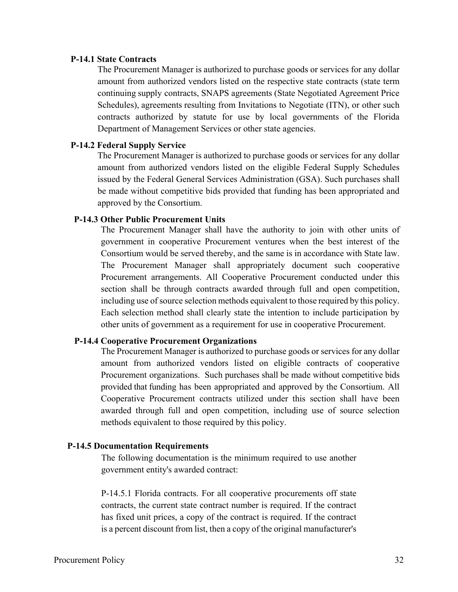#### **P-14.1 State Contracts**

The Procurement Manager is authorized to purchase goods or services for any dollar amount from authorized vendors listed on the respective state contracts (state term continuing supply contracts, SNAPS agreements (State Negotiated Agreement Price Schedules), agreements resulting from Invitations to Negotiate (ITN), or other such contracts authorized by statute for use by local governments of the Florida Department of Management Services or other state agencies.

#### **P-14.2 Federal Supply Service**

The Procurement Manager is authorized to purchase goods or services for any dollar amount from authorized vendors listed on the eligible Federal Supply Schedules issued by the Federal General Services Administration (GSA). Such purchases shall be made without competitive bids provided that funding has been appropriated and approved by the Consortium.

#### **P-14.3 Other Public Procurement Units**

The Procurement Manager shall have the authority to join with other units of government in cooperative Procurement ventures when the best interest of the Consortium would be served thereby, and the same is in accordance with State law. The Procurement Manager shall appropriately document such cooperative Procurement arrangements. All Cooperative Procurement conducted under this section shall be through contracts awarded through full and open competition, including use of source selection methods equivalent to those required by this policy. Each selection method shall clearly state the intention to include participation by other units of government as a requirement for use in cooperative Procurement.

#### **P-14.4 Cooperative Procurement Organizations**

The Procurement Manager is authorized to purchase goods or services for any dollar amount from authorized vendors listed on eligible contracts of cooperative Procurement organizations. Such purchases shall be made without competitive bids provided that funding has been appropriated and approved by the Consortium. All Cooperative Procurement contracts utilized under this section shall have been awarded through full and open competition, including use of source selection methods equivalent to those required by this policy.

#### **P-14.5 Documentation Requirements**

The following documentation is the minimum required to use another government entity's awarded contract:

P-14.5.1 Florida contracts. For all cooperative procurements off state contracts, the current state contract number is required. If the contract has fixed unit prices, a copy of the contract is required. If the contract is a percent discount from list, then a copy of the original manufacturer's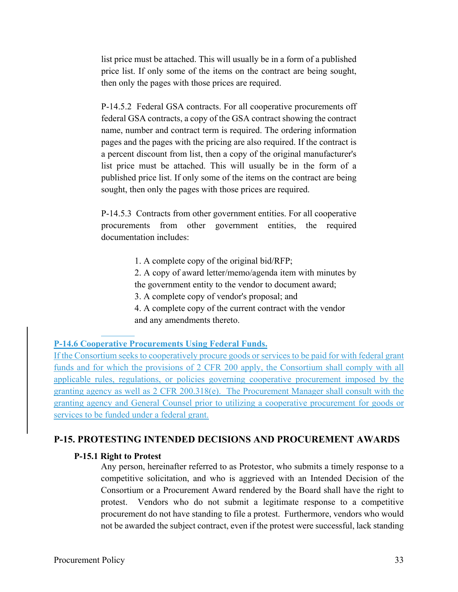list price must be attached. This will usually be in a form of a published price list. If only some of the items on the contract are being sought, then only the pages with those prices are required.

P-14.5.2 Federal GSA contracts. For all cooperative procurements off federal GSA contracts, a copy of the GSA contract showing the contract name, number and contract term is required. The ordering information pages and the pages with the pricing are also required. If the contract is a percent discount from list, then a copy of the original manufacturer's list price must be attached. This will usually be in the form of a published price list. If only some of the items on the contract are being sought, then only the pages with those prices are required.

P-14.5.3 Contracts from other government entities. For all cooperative procurements from other government entities, the required documentation includes:

- 1. A complete copy of the original bid/RFP;
- 2. A copy of award letter/memo/agenda item with minutes by the government entity to the vendor to document award;
- 3. A complete copy of vendor's proposal; and
- 4. A complete copy of the current contract with the vendor and any amendments thereto.

### **P-14.6 Cooperative Procurements Using Federal Funds.**

If the Consortium seeks to cooperatively procure goods or services to be paid for with federal grant funds and for which the provisions of 2 CFR 200 apply, the Consortium shall comply with all applicable rules, regulations, or policies governing cooperative procurement imposed by the granting agency as well as 2 CFR 200.318(e). The Procurement Manager shall consult with the granting agency and General Counsel prior to utilizing a cooperative procurement for goods or services to be funded under a federal grant.

## **P-15. PROTESTING INTENDED DECISIONS AND PROCUREMENT AWARDS**

#### **P-15.1 Right to Protest**

l,

Any person, hereinafter referred to as Protestor, who submits a timely response to a competitive solicitation, and who is aggrieved with an Intended Decision of the Consortium or a Procurement Award rendered by the Board shall have the right to protest. Vendors who do not submit a legitimate response to a competitive procurement do not have standing to file a protest. Furthermore, vendors who would not be awarded the subject contract, even if the protest were successful, lack standing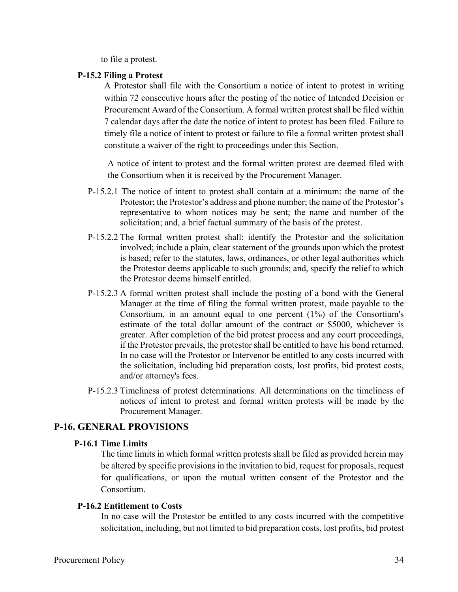to file a protest.

# **P-15.2 Filing a Protest**

A Protestor shall file with the Consortium a notice of intent to protest in writing within 72 consecutive hours after the posting of the notice of Intended Decision or Procurement Award of the Consortium. A formal written protest shall be filed within 7 calendar days after the date the notice of intent to protest has been filed. Failure to timely file a notice of intent to protest or failure to file a formal written protest shall constitute a waiver of the right to proceedings under this Section.

A notice of intent to protest and the formal written protest are deemed filed with the Consortium when it is received by the Procurement Manager.

- P-15.2.1 The notice of intent to protest shall contain at a minimum: the name of the Protestor; the Protestor's address and phone number; the name of the Protestor's representative to whom notices may be sent; the name and number of the solicitation; and, a brief factual summary of the basis of the protest.
- P-15.2.2 The formal written protest shall: identify the Protestor and the solicitation involved; include a plain, clear statement of the grounds upon which the protest is based; refer to the statutes, laws, ordinances, or other legal authorities which the Protestor deems applicable to such grounds; and, specify the relief to which the Protestor deems himself entitled.
- P-15.2.3 A formal written protest shall include the posting of a bond with the General Manager at the time of filing the formal written protest, made payable to the Consortium, in an amount equal to one percent (1%) of the Consortium's estimate of the total dollar amount of the contract or \$5000, whichever is greater. After completion of the bid protest process and any court proceedings, if the Protestor prevails, the protestor shall be entitled to have his bond returned. In no case will the Protestor or Intervenor be entitled to any costs incurred with the solicitation, including bid preparation costs, lost profits, bid protest costs, and/or attorney's fees.
- P-15.2.3 Timeliness of protest determinations. All determinations on the timeliness of notices of intent to protest and formal written protests will be made by the Procurement Manager.

# **P-16. GENERAL PROVISIONS**

# **P-16.1 Time Limits**

The time limits in which formal written protests shall be filed as provided herein may be altered by specific provisions in the invitation to bid, request for proposals, request for qualifications, or upon the mutual written consent of the Protestor and the Consortium.

### **P-16.2 Entitlement to Costs**

In no case will the Protestor be entitled to any costs incurred with the competitive solicitation, including, but not limited to bid preparation costs, lost profits, bid protest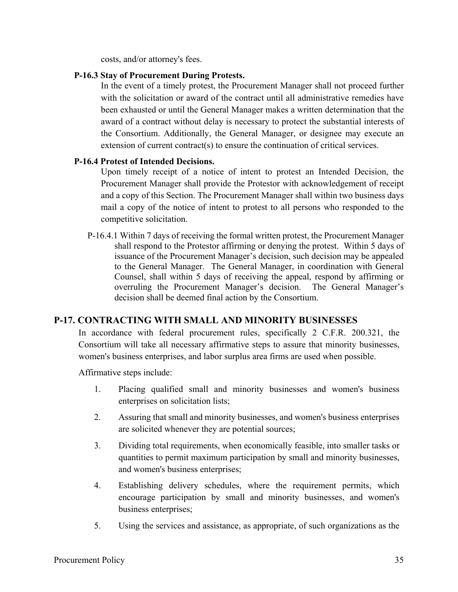costs, and/or attorney's fees.

# **P-16.3 Stay of Procurement During Protests.**

In the event of a timely protest, the Procurement Manager shall not proceed further with the solicitation or award of the contract until all administrative remedies have been exhausted or until the General Manager makes a written determination that the award of a contract without delay is necessary to protect the substantial interests of the Consortium. Additionally, the General Manager, or designee may execute an extension of current contract(s) to ensure the continuation of critical services.

# **P-16.4 Protest of Intended Decisions.**

Upon timely receipt of a notice of intent to protest an Intended Decision, the Procurement Manager shall provide the Protestor with acknowledgement of receipt and a copy of this Section. The Procurement Manager shall within two business days mail a copy of the notice of intent to protest to all persons who responded to the competitive solicitation.

P-16.4.1 Within 7 days of receiving the formal written protest, the Procurement Manager shall respond to the Protestor affirming or denying the protest. Within 5 days of issuance of the Procurement Manager's decision, such decision may be appealed to the General Manager. The General Manager, in coordination with General Counsel, shall within 5 days of receiving the appeal, respond by affirming or overruling the Procurement Manager's decision. The General Manager's decision shall be deemed final action by the Consortium.

# **P-17. CONTRACTING WITH SMALL AND MINORITY BUSINESSES**

In accordance with federal procurement rules, specifically 2 C.F.R. 200.321, the Consortium will take all necessary affirmative steps to assure that minority businesses, women's business enterprises, and labor surplus area firms are used when possible.

Affirmative steps include:

- 1. Placing qualified small and minority businesses and women's business enterprises on solicitation lists;
- 2. Assuring that small and minority businesses, and women's business enterprises are solicited whenever they are potential sources;
- 3. Dividing total requirements, when economically feasible, into smaller tasks or quantities to permit maximum participation by small and minority businesses, and women's business enterprises;
- 4. Establishing delivery schedules, where the requirement permits, which encourage participation by small and minority businesses, and women's business enterprises;
- 5. Using the services and assistance, as appropriate, of such organizations as the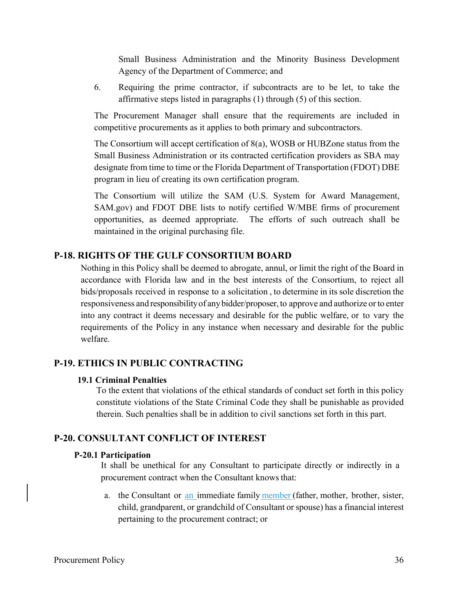Small Business Administration and the Minority Business Development Agency of the Department of Commerce; and

6. Requiring the prime contractor, if subcontracts are to be let, to take the affirmative steps listed in paragraphs (1) through (5) of this section.

The Procurement Manager shall ensure that the requirements are included in competitive procurements as it applies to both primary and subcontractors.

The Consortium will accept certification of 8(a), WOSB or HUBZone status from the Small Business Administration or its contracted certification providers as SBA may designate from time to time or the Florida Department of Transportation (FDOT) DBE program in lieu of creating its own certification program.

The Consortium will utilize the SAM (U.S. System for Award Management, SAM.gov) and FDOT DBE lists to notify certified W/MBE firms of procurement opportunities, as deemed appropriate. The efforts of such outreach shall be maintained in the original purchasing file.

# **P-18. RIGHTS OF THE GULF CONSORTIUM BOARD**

Nothing in this Policy shall be deemed to abrogate, annul, or limit the right of the Board in accordance with Florida law and in the best interests of the Consortium, to reject all bids/proposals received in response to a solicitation , to determine in its sole discretion the responsiveness and responsibility of any bidder/proposer, to approve and authorize or to enter into any contract it deems necessary and desirable for the public welfare, or to vary the requirements of the Policy in any instance when necessary and desirable for the public welfare.

# **P-19. ETHICS IN PUBLIC CONTRACTING**

#### **19.1 Criminal Penalties**

To the extent that violations of the ethical standards of conduct set forth in this policy constitute violations of the State Criminal Code they shall be punishable as provided therein. Such penalties shall be in addition to civil sanctions set forth in this part.

# **P-20. CONSULTANT CONFLICT OF INTEREST**

#### **P-20.1 Participation**

It shall be unethical for any Consultant to participate directly or indirectly in a procurement contract when the Consultant knows that:

a. the Consultant or an immediate family member (father, mother, brother, sister, child, grandparent, or grandchild of Consultant or spouse) has a financial interest pertaining to the procurement contract; or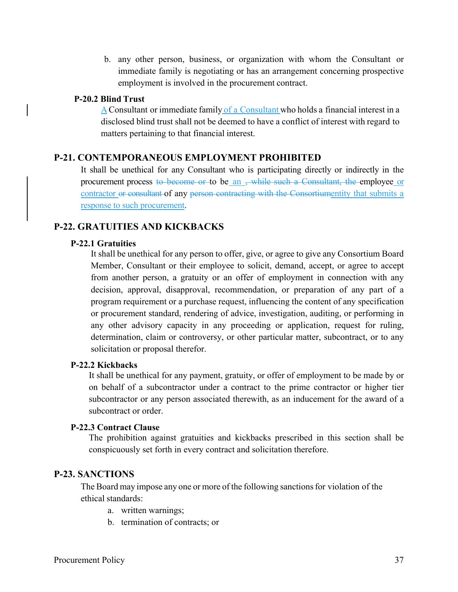b. any other person, business, or organization with whom the Consultant or immediate family is negotiating or has an arrangement concerning prospective employment is involved in the procurement contract.

# **P-20.2 Blind Trust**

A Consultant or immediate family of a Consultant who holds a financial interest in a disclosed blind trust shall not be deemed to have a conflict of interest with regard to matters pertaining to that financial interest.

# **P-21. CONTEMPORANEOUS EMPLOYMENT PROHIBITED**

It shall be unethical for any Consultant who is participating directly or indirectly in the procurement process to become or to be an <del>, while such a Consultant, the e</del>mployee or contractor or consultant of any person contracting with the Consortiumentity that submits a response to such procurement.

# **P-22. GRATUITIES AND KICKBACKS**

### **P-22.1 Gratuities**

It shall be unethical for any person to offer, give, or agree to give any Consortium Board Member, Consultant or their employee to solicit, demand, accept, or agree to accept from another person, a gratuity or an offer of employment in connection with any decision, approval, disapproval, recommendation, or preparation of any part of a program requirement or a purchase request, influencing the content of any specification or procurement standard, rendering of advice, investigation, auditing, or performing in any other advisory capacity in any proceeding or application, request for ruling, determination, claim or controversy, or other particular matter, subcontract, or to any solicitation or proposal therefor.

#### **P-22.2 Kickbacks**

It shall be unethical for any payment, gratuity, or offer of employment to be made by or on behalf of a subcontractor under a contract to the prime contractor or higher tier subcontractor or any person associated therewith, as an inducement for the award of a subcontract or order.

### **P-22.3 Contract Clause**

The prohibition against gratuities and kickbacks prescribed in this section shall be conspicuously set forth in every contract and solicitation therefore.

### **P-23. SANCTIONS**

The Board may impose any one or more of the following sanctions for violation of the ethical standards:

- a. written warnings;
- b. termination of contracts; or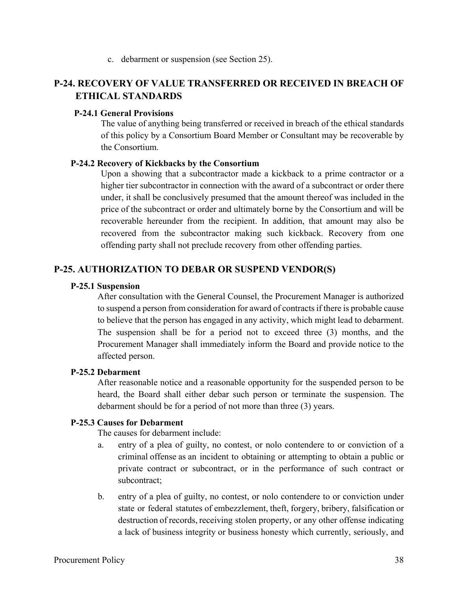c. debarment or suspension (see Section 25).

# **P-24. RECOVERY OF VALUE TRANSFERRED OR RECEIVED IN BREACH OF ETHICAL STANDARDS**

# **P-24.1 General Provisions**

The value of anything being transferred or received in breach of the ethical standards of this policy by a Consortium Board Member or Consultant may be recoverable by the Consortium.

### **P-24.2 Recovery of Kickbacks by the Consortium**

Upon a showing that a subcontractor made a kickback to a prime contractor or a higher tier subcontractor in connection with the award of a subcontract or order there under, it shall be conclusively presumed that the amount thereof was included in the price of the subcontract or order and ultimately borne by the Consortium and will be recoverable hereunder from the recipient. In addition, that amount may also be recovered from the subcontractor making such kickback. Recovery from one offending party shall not preclude recovery from other offending parties.

# **P-25. AUTHORIZATION TO DEBAR OR SUSPEND VENDOR(S)**

# **P-25.1 Suspension**

After consultation with the General Counsel, the Procurement Manager is authorized to suspend a person from consideration for award of contracts if there is probable cause to believe that the person has engaged in any activity, which might lead to debarment. The suspension shall be for a period not to exceed three (3) months, and the Procurement Manager shall immediately inform the Board and provide notice to the affected person.

# **P-25.2 Debarment**

After reasonable notice and a reasonable opportunity for the suspended person to be heard, the Board shall either debar such person or terminate the suspension. The debarment should be for a period of not more than three (3) years.

# **P-25.3 Causes for Debarment**

The causes for debarment include:

- a. entry of a plea of guilty, no contest, or nolo contendere to or conviction of a criminal offense as an incident to obtaining or attempting to obtain a public or private contract or subcontract, or in the performance of such contract or subcontract;
- b. entry of a plea of guilty, no contest, or nolo contendere to or conviction under state or federal statutes of embezzlement, theft, forgery, bribery, falsification or destruction of records, receiving stolen property, or any other offense indicating a lack of business integrity or business honesty which currently, seriously, and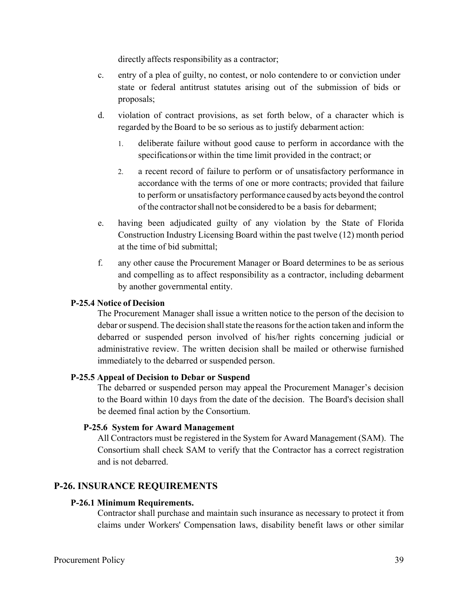directly affects responsibility as a contractor;

- c. entry of a plea of guilty, no contest, or nolo contendere to or conviction under state or federal antitrust statutes arising out of the submission of bids or proposals;
- d. violation of contract provisions, as set forth below, of a character which is regarded by the Board to be so serious as to justify debarment action:
	- 1. deliberate failure without good cause to perform in accordance with the specifications or within the time limit provided in the contract; or
	- 2. a recent record of failure to perform or of unsatisfactory performance in accordance with the terms of one or more contracts; provided that failure to perform or unsatisfactory performance caused by acts beyond the control of the contractor shall not be considered to be a basis for debarment;
- e. having been adjudicated guilty of any violation by the State of Florida Construction Industry Licensing Board within the past twelve (12) month period at the time of bid submittal;
- f. any other cause the Procurement Manager or Board determines to be as serious and compelling as to affect responsibility as a contractor, including debarment by another governmental entity.

# **P-25.4 Notice of Decision**

The Procurement Manager shall issue a written notice to the person of the decision to debar or suspend. The decision shall state the reasons for the action taken and inform the debarred or suspended person involved of his/her rights concerning judicial or administrative review. The written decision shall be mailed or otherwise furnished immediately to the debarred or suspended person.

### **P-25.5 Appeal of Decision to Debar or Suspend**

The debarred or suspended person may appeal the Procurement Manager's decision to the Board within 10 days from the date of the decision. The Board's decision shall be deemed final action by the Consortium.

### **P-25.6 System for Award Management**

All Contractors must be registered in the System for Award Management (SAM). The Consortium shall check SAM to verify that the Contractor has a correct registration and is not debarred.

# **P-26. INSURANCE REQUIREMENTS**

### **P-26.1 Minimum Requirements.**

Contractor shall purchase and maintain such insurance as necessary to protect it from claims under Workers' Compensation laws, disability benefit laws or other similar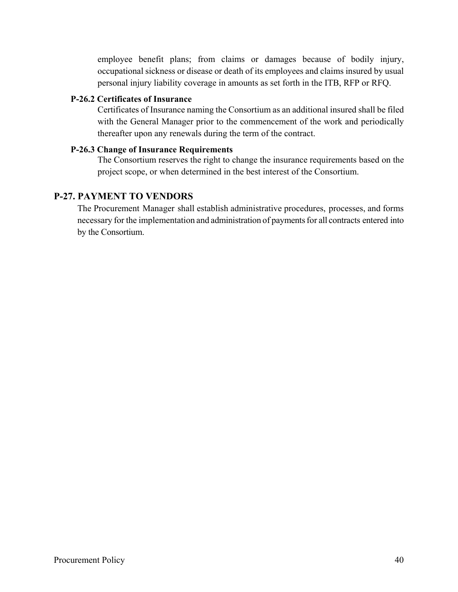employee benefit plans; from claims or damages because of bodily injury, occupational sickness or disease or death of its employees and claims insured by usual personal injury liability coverage in amounts as set forth in the ITB, RFP or RFQ.

# **P-26.2 Certificates of Insurance**

Certificates of Insurance naming the Consortium as an additional insured shall be filed with the General Manager prior to the commencement of the work and periodically thereafter upon any renewals during the term of the contract.

# **P-26.3 Change of Insurance Requirements**

The Consortium reserves the right to change the insurance requirements based on the project scope, or when determined in the best interest of the Consortium.

# **P-27. PAYMENT TO VENDORS**

The Procurement Manager shall establish administrative procedures, processes, and forms necessary for the implementation and administration of payments for all contracts entered into by the Consortium.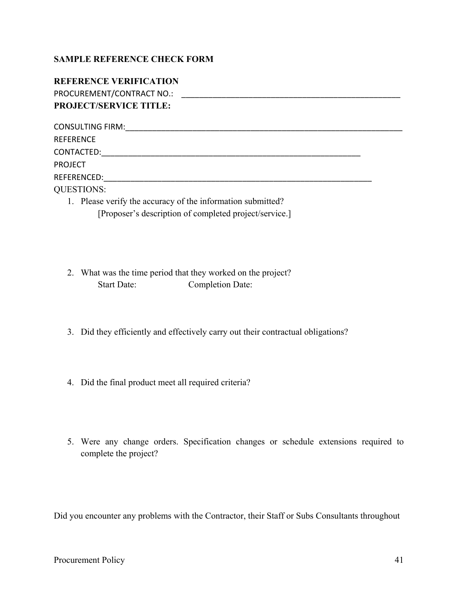# **SAMPLE REFERENCE CHECK FORM**

| <b>REFERENCE VERIFICATION</b>                               |  |
|-------------------------------------------------------------|--|
| PROCUREMENT/CONTRACT NO.:                                   |  |
| <b>PROJECT/SERVICE TITLE:</b>                               |  |
| <b>CONSULTING FIRM:</b>                                     |  |
| <b>REFERENCE</b>                                            |  |
| CONTACTED:                                                  |  |
| <b>PROJECT</b>                                              |  |
| REFERENCED:                                                 |  |
| <b>QUESTIONS:</b>                                           |  |
| 1. Please verify the accuracy of the information submitted? |  |
| [Proposer's description of completed project/service.]      |  |

- 2. What was the time period that they worked on the project? Start Date: Completion Date:
- 3. Did they efficiently and effectively carry out their contractual obligations?
- 4. Did the final product meet all required criteria?
- 5. Were any change orders. Specification changes or schedule extensions required to complete the project?

Did you encounter any problems with the Contractor, their Staff or Subs Consultants throughout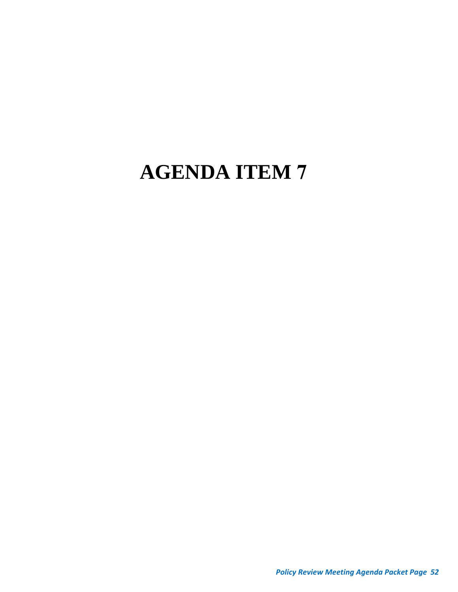# **AGENDA ITEM 7**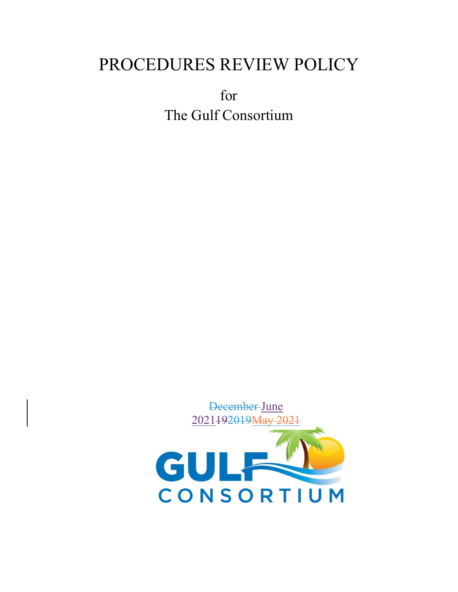# PROCEDURES REVIEW POLICY

for The Gulf Consortium

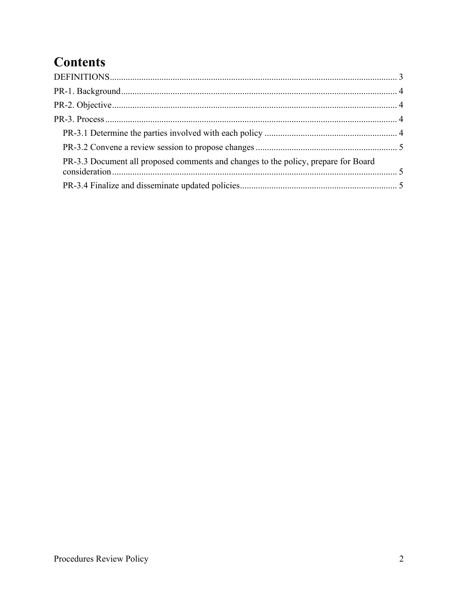# **Contents**

| PR-3.3 Document all proposed comments and changes to the policy, prepare for Board |  |
|------------------------------------------------------------------------------------|--|
|                                                                                    |  |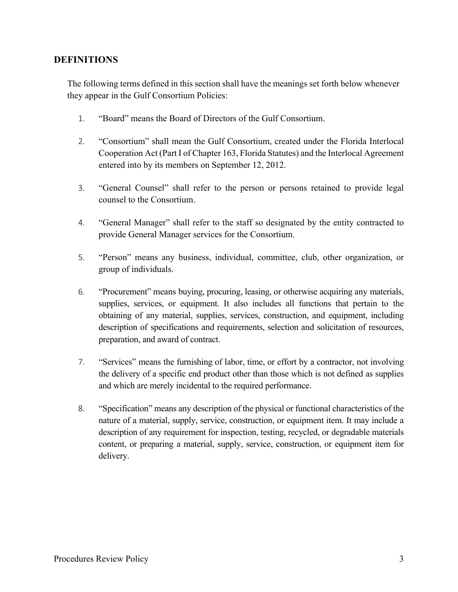# **DEFINITIONS**

The following terms defined in this section shall have the meanings set forth below whenever they appear in the Gulf Consortium Policies:

- 1. "Board" means the Board of Directors of the Gulf Consortium.
- 2. "Consortium" shall mean the Gulf Consortium, created under the Florida Interlocal Cooperation Act (Part I of Chapter 163, Florida Statutes) and the Interlocal Agreement entered into by its members on September 12, 2012.
- 3. "General Counsel" shall refer to the person or persons retained to provide legal counsel to the Consortium.
- 4. "General Manager" shall refer to the staff so designated by the entity contracted to provide General Manager services for the Consortium.
- 5. "Person" means any business, individual, committee, club, other organization, or group of individuals.
- 6. "Procurement" means buying, procuring, leasing, or otherwise acquiring any materials, supplies, services, or equipment. It also includes all functions that pertain to the obtaining of any material, supplies, services, construction, and equipment, including description of specifications and requirements, selection and solicitation of resources, preparation, and award of contract.
- 7. "Services" means the furnishing of labor, time, or effort by a contractor, not involving the delivery of a specific end product other than those which is not defined as supplies and which are merely incidental to the required performance.
- 8. "Specification" means any description of the physical or functional characteristics of the nature of a material, supply, service, construction, or equipment item. It may include a description of any requirement for inspection, testing, recycled, or degradable materials content, or preparing a material, supply, service, construction, or equipment item for delivery.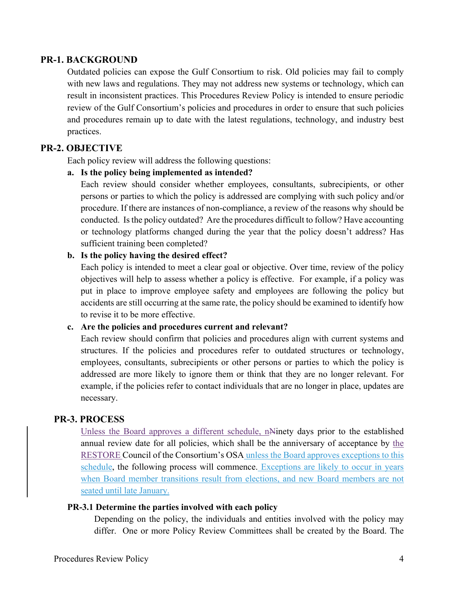# **PR-1. BACKGROUND**

Outdated policies can expose the Gulf Consortium to risk. Old policies may fail to comply with new laws and regulations. They may not address new systems or technology, which can result in inconsistent practices. This Procedures Review Policy is intended to ensure periodic review of the Gulf Consortium's policies and procedures in order to ensure that such policies and procedures remain up to date with the latest regulations, technology, and industry best practices.

# **PR-2. OBJECTIVE**

Each policy review will address the following questions:

# **a. Is the policy being implemented as intended?**

Each review should consider whether employees, consultants, subrecipients, or other persons or parties to which the policy is addressed are complying with such policy and/or procedure. If there are instances of non-compliance, a review of the reasons why should be conducted. Is the policy outdated? Are the procedures difficult to follow? Have accounting or technology platforms changed during the year that the policy doesn't address? Has sufficient training been completed?

# **b. Is the policy having the desired effect?**

Each policy is intended to meet a clear goal or objective. Over time, review of the policy objectives will help to assess whether a policy is effective. For example, if a policy was put in place to improve employee safety and employees are following the policy but accidents are still occurring at the same rate, the policy should be examined to identify how to revise it to be more effective.

# **c. Are the policies and procedures current and relevant?**

Each review should confirm that policies and procedures align with current systems and structures. If the policies and procedures refer to outdated structures or technology, employees, consultants, subrecipients or other persons or parties to which the policy is addressed are more likely to ignore them or think that they are no longer relevant. For example, if the policies refer to contact individuals that are no longer in place, updates are necessary.

# **PR-3. PROCESS**

Unless the Board approves a different schedule, nNinety days prior to the established annual review date for all policies, which shall be the anniversary of acceptance by the RESTORE Council of the Consortium's OSA unless the Board approves exceptions to this schedule, the following process will commence. Exceptions are likely to occur in years when Board member transitions result from elections, and new Board members are not seated until late January.

### **PR-3.1 Determine the parties involved with each policy**

Depending on the policy, the individuals and entities involved with the policy may differ. One or more Policy Review Committees shall be created by the Board. The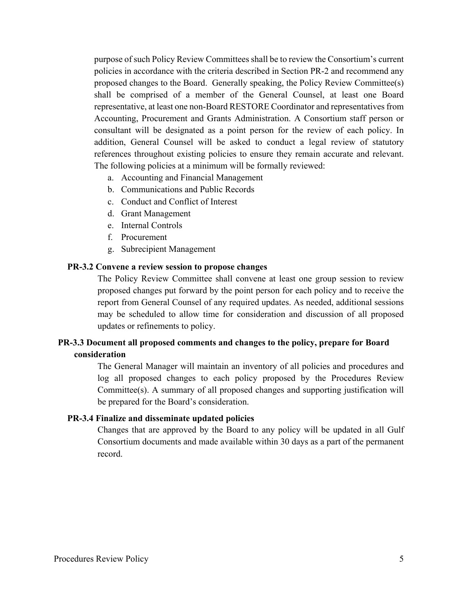purpose of such Policy Review Committees shall be to review the Consortium's current policies in accordance with the criteria described in Section PR-2 and recommend any proposed changes to the Board. Generally speaking, the Policy Review Committee(s) shall be comprised of a member of the General Counsel, at least one Board representative, at least one non-Board RESTORE Coordinator and representatives from Accounting, Procurement and Grants Administration. A Consortium staff person or consultant will be designated as a point person for the review of each policy. In addition, General Counsel will be asked to conduct a legal review of statutory references throughout existing policies to ensure they remain accurate and relevant. The following policies at a minimum will be formally reviewed:

- a. Accounting and Financial Management
- b. Communications and Public Records
- c. Conduct and Conflict of Interest
- d. Grant Management
- e. Internal Controls
- f. Procurement
- g. Subrecipient Management

### **PR-3.2 Convene a review session to propose changes**

The Policy Review Committee shall convene at least one group session to review proposed changes put forward by the point person for each policy and to receive the report from General Counsel of any required updates. As needed, additional sessions may be scheduled to allow time for consideration and discussion of all proposed updates or refinements to policy.

# **PR-3.3 Document all proposed comments and changes to the policy, prepare for Board consideration**

The General Manager will maintain an inventory of all policies and procedures and log all proposed changes to each policy proposed by the Procedures Review Committee(s). A summary of all proposed changes and supporting justification will be prepared for the Board's consideration.

#### **PR-3.4 Finalize and disseminate updated policies**

Changes that are approved by the Board to any policy will be updated in all Gulf Consortium documents and made available within 30 days as a part of the permanent record.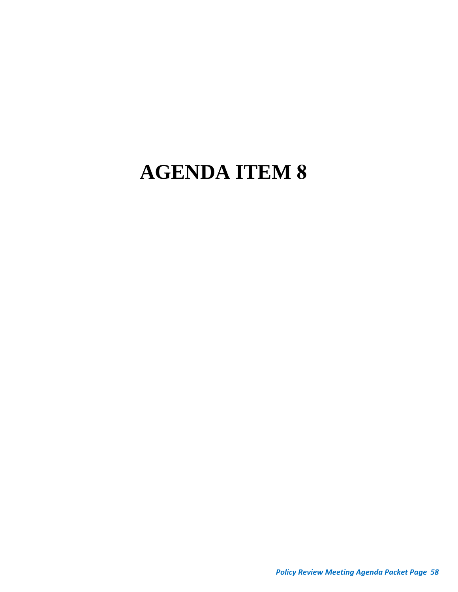# **AGENDA ITEM 8**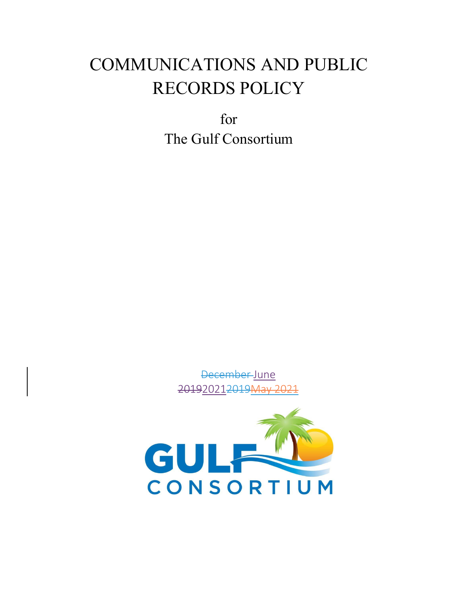# COMMUNICATIONS AND PUBLIC RECORDS POLICY

for The Gulf Consortium

> December June <del>2019</del>2021<del>2019</del>

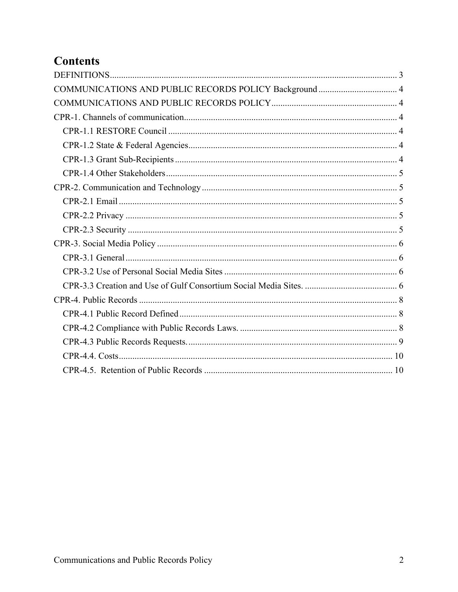# **Contents**

| COMMUNICATIONS AND PUBLIC RECORDS POLICY Background  4 |  |
|--------------------------------------------------------|--|
|                                                        |  |
|                                                        |  |
|                                                        |  |
|                                                        |  |
|                                                        |  |
|                                                        |  |
|                                                        |  |
|                                                        |  |
|                                                        |  |
|                                                        |  |
|                                                        |  |
|                                                        |  |
|                                                        |  |
|                                                        |  |
|                                                        |  |
|                                                        |  |
|                                                        |  |
|                                                        |  |
|                                                        |  |
|                                                        |  |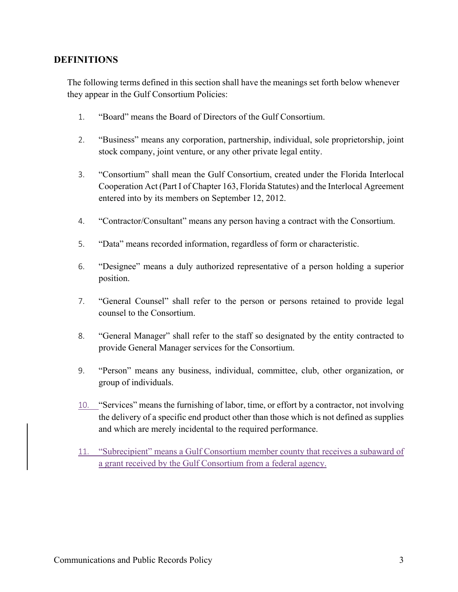# **DEFINITIONS**

The following terms defined in this section shall have the meanings set forth below whenever they appear in the Gulf Consortium Policies:

- 1. "Board" means the Board of Directors of the Gulf Consortium.
- 2. "Business" means any corporation, partnership, individual, sole proprietorship, joint stock company, joint venture, or any other private legal entity.
- 3. "Consortium" shall mean the Gulf Consortium, created under the Florida Interlocal Cooperation Act (Part I of Chapter 163, Florida Statutes) and the Interlocal Agreement entered into by its members on September 12, 2012.
- 4. "Contractor/Consultant" means any person having a contract with the Consortium.
- 5. "Data" means recorded information, regardless of form or characteristic.
- 6. "Designee" means a duly authorized representative of a person holding a superior position.
- 7. "General Counsel" shall refer to the person or persons retained to provide legal counsel to the Consortium.
- 8. "General Manager" shall refer to the staff so designated by the entity contracted to provide General Manager services for the Consortium.
- 9. "Person" means any business, individual, committee, club, other organization, or group of individuals.
- 10. "Services" means the furnishing of labor, time, or effort by a contractor, not involving the delivery of a specific end product other than those which is not defined as supplies and which are merely incidental to the required performance.
- 11. "Subrecipient" means a Gulf Consortium member county that receives a subaward of a grant received by the Gulf Consortium from a federal agency.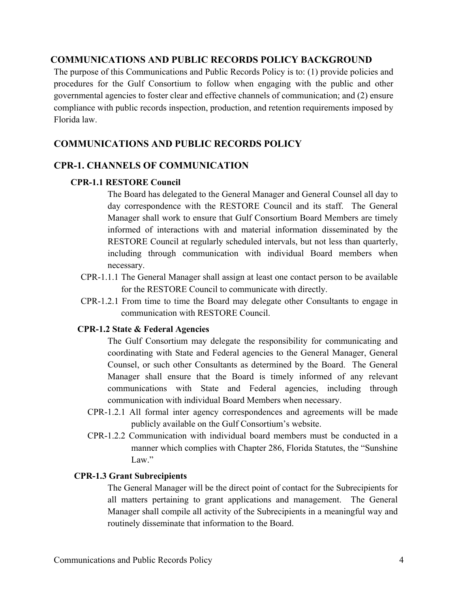# **COMMUNICATIONS AND PUBLIC RECORDS POLICY BACKGROUND**

The purpose of this Communications and Public Records Policy is to: (1) provide policies and procedures for the Gulf Consortium to follow when engaging with the public and other governmental agencies to foster clear and effective channels of communication; and (2) ensure compliance with public records inspection, production, and retention requirements imposed by Florida law.

# **COMMUNICATIONS AND PUBLIC RECORDS POLICY**

# **CPR-1. CHANNELS OF COMMUNICATION**

## **CPR-1.1 RESTORE Council**

The Board has delegated to the General Manager and General Counsel all day to day correspondence with the RESTORE Council and its staff. The General Manager shall work to ensure that Gulf Consortium Board Members are timely informed of interactions with and material information disseminated by the RESTORE Council at regularly scheduled intervals, but not less than quarterly, including through communication with individual Board members when necessary.

- CPR-1.1.1 The General Manager shall assign at least one contact person to be available for the RESTORE Council to communicate with directly.
- CPR-1.2.1 From time to time the Board may delegate other Consultants to engage in communication with RESTORE Council.

#### **CPR-1.2 State & Federal Agencies**

The Gulf Consortium may delegate the responsibility for communicating and coordinating with State and Federal agencies to the General Manager, General Counsel, or such other Consultants as determined by the Board. The General Manager shall ensure that the Board is timely informed of any relevant communications with State and Federal agencies, including through communication with individual Board Members when necessary.

- CPR-1.2.1 All formal inter agency correspondences and agreements will be made publicly available on the Gulf Consortium's website.
- CPR-1.2.2 Communication with individual board members must be conducted in a manner which complies with Chapter 286, Florida Statutes, the "Sunshine Law."

#### **CPR-1.3 Grant Subrecipients**

The General Manager will be the direct point of contact for the Subrecipients for all matters pertaining to grant applications and management. The General Manager shall compile all activity of the Subrecipients in a meaningful way and routinely disseminate that information to the Board.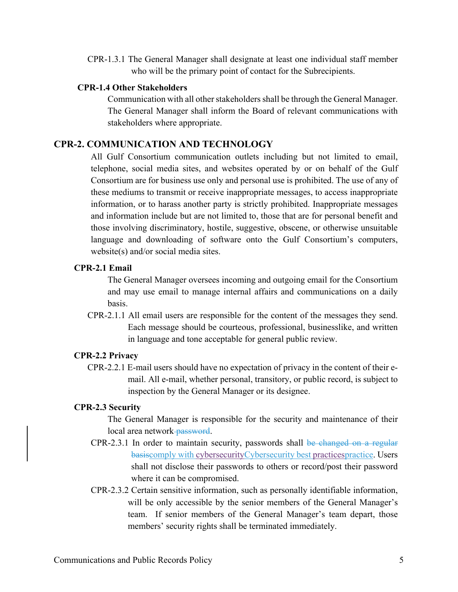CPR-1.3.1 The General Manager shall designate at least one individual staff member who will be the primary point of contact for the Subrecipients.

#### **CPR-1.4 Other Stakeholders**

Communication with all other stakeholders shall be through the General Manager. The General Manager shall inform the Board of relevant communications with stakeholders where appropriate.

# **CPR-2. COMMUNICATION AND TECHNOLOGY**

All Gulf Consortium communication outlets including but not limited to email, telephone, social media sites, and websites operated by or on behalf of the Gulf Consortium are for business use only and personal use is prohibited. The use of any of these mediums to transmit or receive inappropriate messages, to access inappropriate information, or to harass another party is strictly prohibited. Inappropriate messages and information include but are not limited to, those that are for personal benefit and those involving discriminatory, hostile, suggestive, obscene, or otherwise unsuitable language and downloading of software onto the Gulf Consortium's computers, website(s) and/or social media sites.

### **CPR-2.1 Email**

The General Manager oversees incoming and outgoing email for the Consortium and may use email to manage internal affairs and communications on a daily basis.

CPR-2.1.1 All email users are responsible for the content of the messages they send. Each message should be courteous, professional, businesslike, and written in language and tone acceptable for general public review.

#### **CPR-2.2 Privacy**

CPR-2.2.1 E-mail users should have no expectation of privacy in the content of their email. All e-mail, whether personal, transitory, or public record, is subject to inspection by the General Manager or its designee.

#### **CPR-2.3 Security**

The General Manager is responsible for the security and maintenance of their local area network-password.

- CPR-2.3.1 In order to maintain security, passwords shall be changed on a regular basiscomply with cybersecurityCybersecurity best practicespractice. Users shall not disclose their passwords to others or record/post their password where it can be compromised.
- CPR-2.3.2 Certain sensitive information, such as personally identifiable information, will be only accessible by the senior members of the General Manager's team. If senior members of the General Manager's team depart, those members' security rights shall be terminated immediately.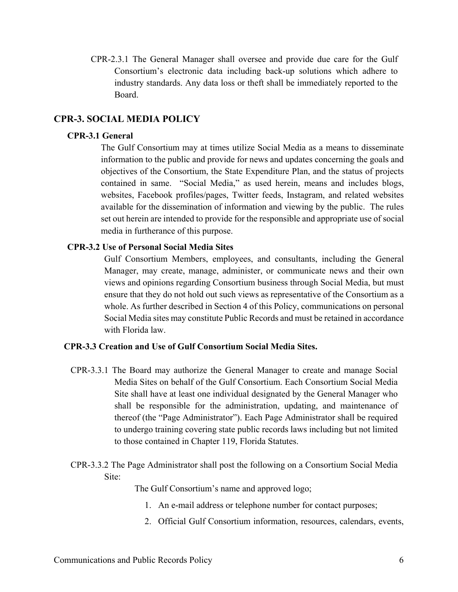CPR-2.3.1 The General Manager shall oversee and provide due care for the Gulf Consortium's electronic data including back-up solutions which adhere to industry standards. Any data loss or theft shall be immediately reported to the Board.

# **CPR-3. SOCIAL MEDIA POLICY**

#### **CPR-3.1 General**

The Gulf Consortium may at times utilize Social Media as a means to disseminate information to the public and provide for news and updates concerning the goals and objectives of the Consortium, the State Expenditure Plan, and the status of projects contained in same. "Social Media," as used herein, means and includes blogs, websites, Facebook profiles/pages, Twitter feeds, Instagram, and related websites available for the dissemination of information and viewing by the public. The rules set out herein are intended to provide for the responsible and appropriate use of social media in furtherance of this purpose.

### **CPR-3.2 Use of Personal Social Media Sites**

Gulf Consortium Members, employees, and consultants, including the General Manager, may create, manage, administer, or communicate news and their own views and opinions regarding Consortium business through Social Media, but must ensure that they do not hold out such views as representative of the Consortium as a whole. As further described in Section 4 of this Policy, communications on personal Social Media sites may constitute Public Records and must be retained in accordance with Florida law.

### **CPR-3.3 Creation and Use of Gulf Consortium Social Media Sites.**

- CPR-3.3.1 The Board may authorize the General Manager to create and manage Social Media Sites on behalf of the Gulf Consortium. Each Consortium Social Media Site shall have at least one individual designated by the General Manager who shall be responsible for the administration, updating, and maintenance of thereof (the "Page Administrator"). Each Page Administrator shall be required to undergo training covering state public records laws including but not limited to those contained in Chapter 119, Florida Statutes.
- CPR-3.3.2 The Page Administrator shall post the following on a Consortium Social Media Site:

The Gulf Consortium's name and approved logo;

- 1. An e-mail address or telephone number for contact purposes;
- 2. Official Gulf Consortium information, resources, calendars, events,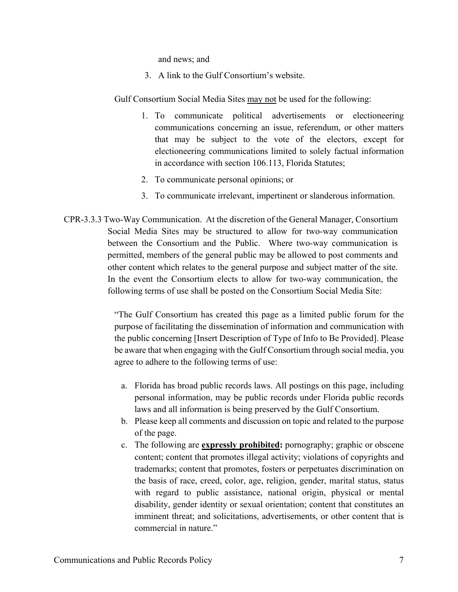and news; and

3. A link to the Gulf Consortium's website.

Gulf Consortium Social Media Sites may not be used for the following:

- 1. To communicate political advertisements or electioneering communications concerning an issue, referendum, or other matters that may be subject to the vote of the electors, except for electioneering communications limited to solely factual information in accordance with section 106.113, Florida Statutes;
- 2. To communicate personal opinions; or
- 3. To communicate irrelevant, impertinent or slanderous information.
- CPR-3.3.3 Two-Way Communication.At the discretion of the General Manager, Consortium Social Media Sites may be structured to allow for two-way communication between the Consortium and the Public. Where two-way communication is permitted, members of the general public may be allowed to post comments and other content which relates to the general purpose and subject matter of the site. In the event the Consortium elects to allow for two-way communication, the following terms of use shall be posted on the Consortium Social Media Site:

"The Gulf Consortium has created this page as a limited public forum for the purpose of facilitating the dissemination of information and communication with the public concerning [Insert Description of Type of Info to Be Provided]. Please be aware that when engaging with the Gulf Consortium through social media, you agree to adhere to the following terms of use:

- a. Florida has broad public records laws. All postings on this page, including personal information, may be public records under Florida public records laws and all information is being preserved by the Gulf Consortium.
- b. Please keep all comments and discussion on topic and related to the purpose of the page.
- c. The following are **expressly prohibited:** pornography; graphic or obscene content; content that promotes illegal activity; violations of copyrights and trademarks; content that promotes, fosters or perpetuates discrimination on the basis of race, creed, color, age, religion, gender, marital status, status with regard to public assistance, national origin, physical or mental disability, gender identity or sexual orientation; content that constitutes an imminent threat; and solicitations, advertisements, or other content that is commercial in nature."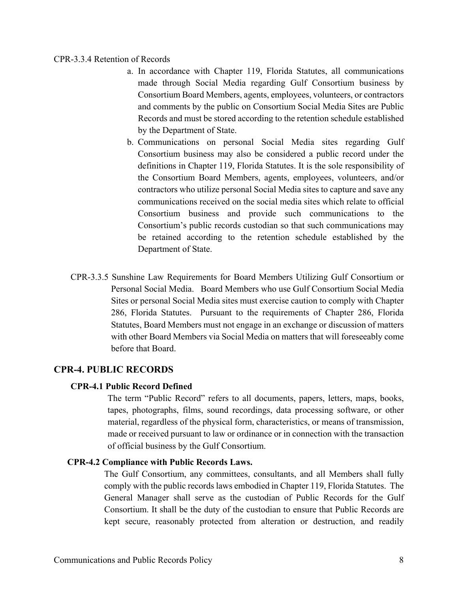#### CPR-3.3.4 Retention of Records

- a. In accordance with Chapter 119, Florida Statutes, all communications made through Social Media regarding Gulf Consortium business by Consortium Board Members, agents, employees, volunteers, or contractors and comments by the public on Consortium Social Media Sites are Public Records and must be stored according to the retention schedule established by the Department of State.
- b. Communications on personal Social Media sites regarding Gulf Consortium business may also be considered a public record under the definitions in Chapter 119, Florida Statutes. It is the sole responsibility of the Consortium Board Members, agents, employees, volunteers, and/or contractors who utilize personal Social Media sites to capture and save any communications received on the social media sites which relate to official Consortium business and provide such communications to the Consortium's public records custodian so that such communications may be retained according to the retention schedule established by the Department of State.
- CPR-3.3.5 Sunshine Law Requirements for Board Members Utilizing Gulf Consortium or Personal Social Media.Board Members who use Gulf Consortium Social Media Sites or personal Social Media sites must exercise caution to comply with Chapter 286, Florida Statutes. Pursuant to the requirements of Chapter 286, Florida Statutes, Board Members must not engage in an exchange or discussion of matters with other Board Members via Social Media on matters that will foreseeably come before that Board.

# **CPR-4. PUBLIC RECORDS**

## **CPR-4.1 Public Record Defined**

The term "Public Record" refers to all documents, papers, letters, maps, books, tapes, photographs, films, sound recordings, data processing software, or other material, regardless of the physical form, characteristics, or means of transmission, made or received pursuant to law or ordinance or in connection with the transaction of official business by the Gulf Consortium.

### **CPR-4.2 Compliance with Public Records Laws.**

The Gulf Consortium, any committees, consultants, and all Members shall fully comply with the public records laws embodied in Chapter 119, Florida Statutes. The General Manager shall serve as the custodian of Public Records for the Gulf Consortium. It shall be the duty of the custodian to ensure that Public Records are kept secure, reasonably protected from alteration or destruction, and readily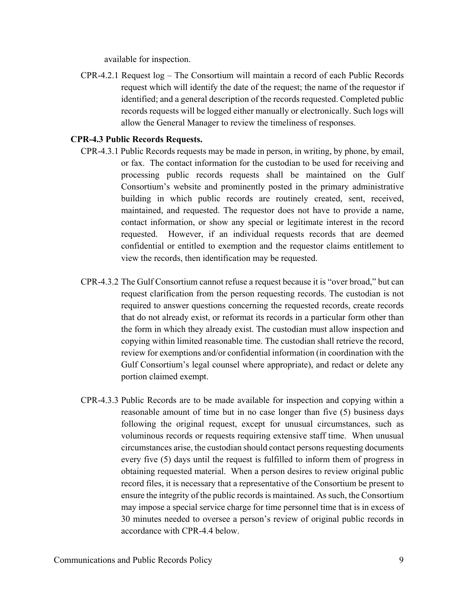available for inspection.

CPR-4.2.1 Request log – The Consortium will maintain a record of each Public Records request which will identify the date of the request; the name of the requestor if identified; and a general description of the records requested. Completed public records requests will be logged either manually or electronically. Such logs will allow the General Manager to review the timeliness of responses.

# **CPR-4.3 Public Records Requests.**

- CPR-4.3.1 Public Records requests may be made in person, in writing, by phone, by email, or fax. The contact information for the custodian to be used for receiving and processing public records requests shall be maintained on the Gulf Consortium's website and prominently posted in the primary administrative building in which public records are routinely created, sent, received, maintained, and requested. The requestor does not have to provide a name, contact information, or show any special or legitimate interest in the record requested. However, if an individual requests records that are deemed confidential or entitled to exemption and the requestor claims entitlement to view the records, then identification may be requested.
- CPR-4.3.2 The Gulf Consortium cannot refuse a request because it is "over broad," but can request clarification from the person requesting records. The custodian is not required to answer questions concerning the requested records, create records that do not already exist, or reformat its records in a particular form other than the form in which they already exist. The custodian must allow inspection and copying within limited reasonable time. The custodian shall retrieve the record, review for exemptions and/or confidential information (in coordination with the Gulf Consortium's legal counsel where appropriate), and redact or delete any portion claimed exempt.
- CPR-4.3.3 Public Records are to be made available for inspection and copying within a reasonable amount of time but in no case longer than five (5) business days following the original request, except for unusual circumstances, such as voluminous records or requests requiring extensive staff time. When unusual circumstances arise, the custodian should contact persons requesting documents every five (5) days until the request is fulfilled to inform them of progress in obtaining requested material. When a person desires to review original public record files, it is necessary that a representative of the Consortium be present to ensure the integrity of the public records is maintained. As such, the Consortium may impose a special service charge for time personnel time that is in excess of 30 minutes needed to oversee a person's review of original public records in accordance with CPR-4.4 below.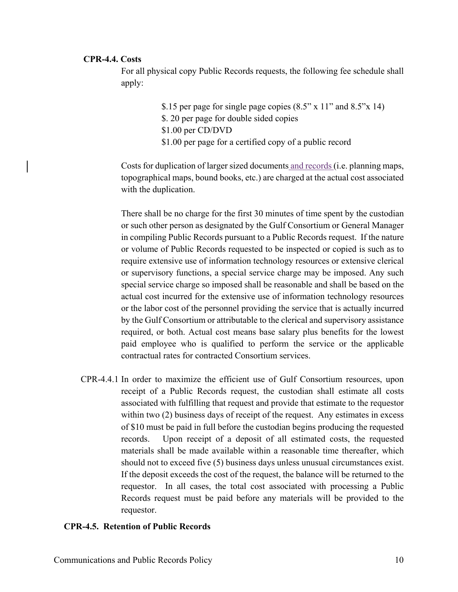## **CPR-4.4. Costs**

For all physical copy Public Records requests, the following fee schedule shall apply:

> \$.15 per page for single page copies (8.5" x 11" and 8.5"x 14) \$. 20 per page for double sided copies \$1.00 per CD/DVD \$1.00 per page for a certified copy of a public record

Costs for duplication of larger sized documents and records (i.e. planning maps, topographical maps, bound books, etc.) are charged at the actual cost associated with the duplication.

There shall be no charge for the first 30 minutes of time spent by the custodian or such other person as designated by the Gulf Consortium or General Manager in compiling Public Records pursuant to a Public Records request. If the nature or volume of Public Records requested to be inspected or copied is such as to require extensive use of information technology resources or extensive clerical or supervisory functions, a special service charge may be imposed. Any such special service charge so imposed shall be reasonable and shall be based on the actual cost incurred for the extensive use of information technology resources or the labor cost of the personnel providing the service that is actually incurred by the Gulf Consortium or attributable to the clerical and supervisory assistance required, or both. Actual cost means base salary plus benefits for the lowest paid employee who is qualified to perform the service or the applicable contractual rates for contracted Consortium services.

CPR-4.4.1 In order to maximize the efficient use of Gulf Consortium resources, upon receipt of a Public Records request, the custodian shall estimate all costs associated with fulfilling that request and provide that estimate to the requestor within two (2) business days of receipt of the request. Any estimates in excess of \$10 must be paid in full before the custodian begins producing the requested records. Upon receipt of a deposit of all estimated costs, the requested materials shall be made available within a reasonable time thereafter, which should not to exceed five (5) business days unless unusual circumstances exist. If the deposit exceeds the cost of the request, the balance will be returned to the requestor. In all cases, the total cost associated with processing a Public Records request must be paid before any materials will be provided to the requestor.

## **CPR-4.5. Retention of Public Records**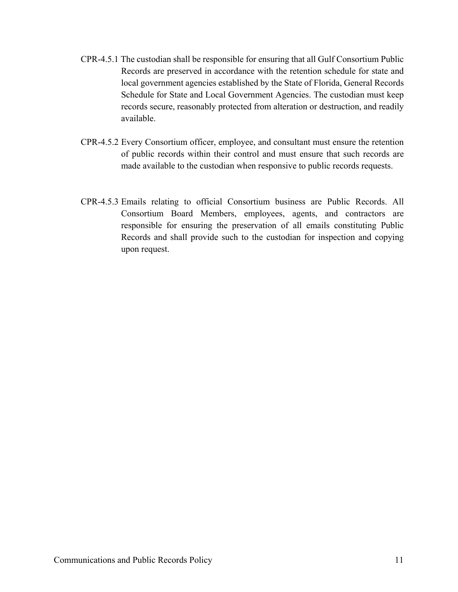- CPR-4.5.1 The custodian shall be responsible for ensuring that all Gulf Consortium Public Records are preserved in accordance with the retention schedule for state and local government agencies established by the State of Florida, General Records Schedule for State and Local Government Agencies. The custodian must keep records secure, reasonably protected from alteration or destruction, and readily available.
- CPR-4.5.2 Every Consortium officer, employee, and consultant must ensure the retention of public records within their control and must ensure that such records are made available to the custodian when responsive to public records requests.
- CPR-4.5.3 Emails relating to official Consortium business are Public Records. All Consortium Board Members, employees, agents, and contractors are responsible for ensuring the preservation of all emails constituting Public Records and shall provide such to the custodian for inspection and copying upon request.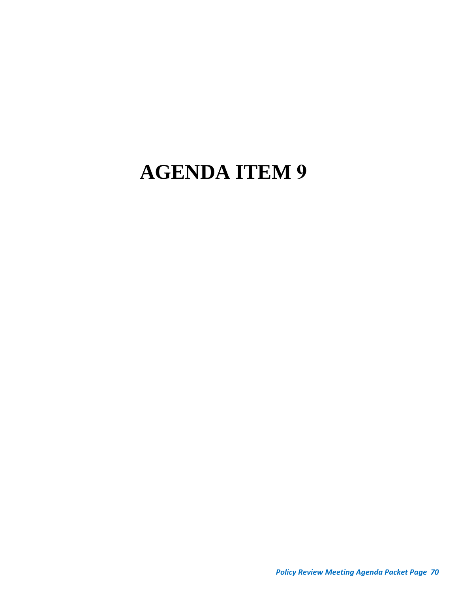# **AGENDA ITEM 9**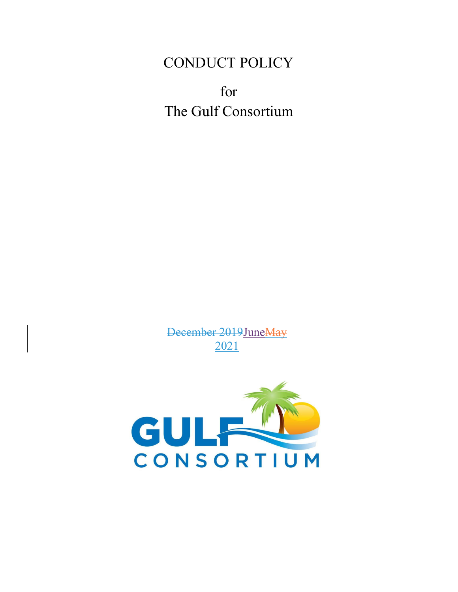# CONDUCT POLICY

for The Gulf Consortium

December 2019JuneMay 2021

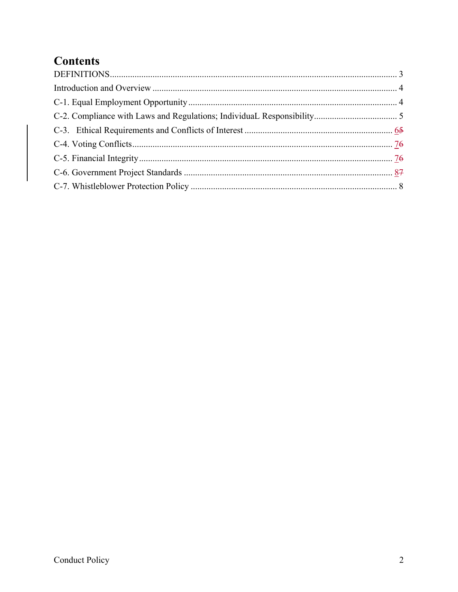# **Contents**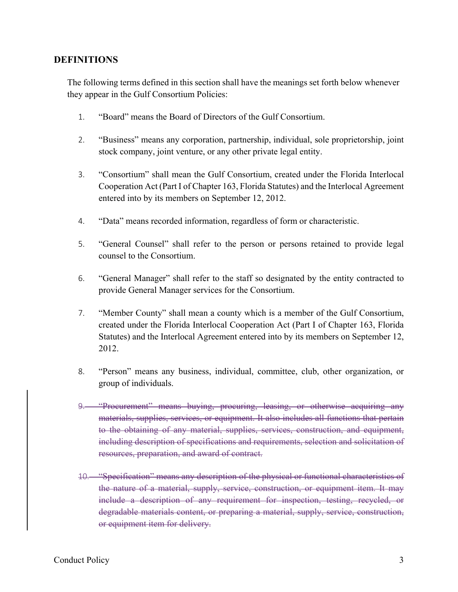#### **DEFINITIONS**

The following terms defined in this section shall have the meanings set forth below whenever they appear in the Gulf Consortium Policies:

- 1. "Board" means the Board of Directors of the Gulf Consortium.
- 2. "Business" means any corporation, partnership, individual, sole proprietorship, joint stock company, joint venture, or any other private legal entity.
- 3. "Consortium" shall mean the Gulf Consortium, created under the Florida Interlocal Cooperation Act (Part I of Chapter 163, Florida Statutes) and the Interlocal Agreement entered into by its members on September 12, 2012.
- 4. "Data" means recorded information, regardless of form or characteristic.
- 5. "General Counsel" shall refer to the person or persons retained to provide legal counsel to the Consortium.
- 6. "General Manager" shall refer to the staff so designated by the entity contracted to provide General Manager services for the Consortium.
- 7. "Member County" shall mean a county which is a member of the Gulf Consortium, created under the Florida Interlocal Cooperation Act (Part I of Chapter 163, Florida Statutes) and the Interlocal Agreement entered into by its members on September 12, 2012.
- 8. "Person" means any business, individual, committee, club, other organization, or group of individuals.
- 9. "Procurement" means buying, procuring, leasing, or otherwise acquiring any materials, supplies, services, or equipment. It also includes all functions that pertain to the obtaining of any material, supplies, services, construction, and equipment, including description of specifications and requirements, selection and solicitation of resources, preparation, and award of contract.
- 10. "Specification" means any description of the physical or functional characteristics of the nature of a material, supply, service, construction, or equipment item. It may include a description of any requirement for inspection, testing, recycled, or degradable materials content, or preparing a material, supply, service, construction, or equipment item for delivery.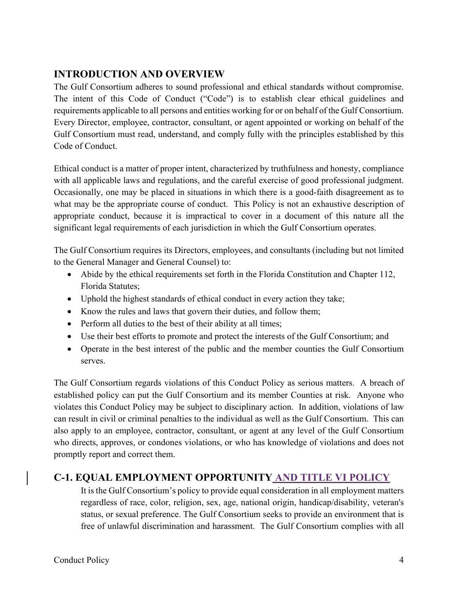## **INTRODUCTION AND OVERVIEW**

The Gulf Consortium adheres to sound professional and ethical standards without compromise. The intent of this Code of Conduct ("Code") is to establish clear ethical guidelines and requirements applicable to all persons and entities working for or on behalf of the Gulf Consortium. Every Director, employee, contractor, consultant, or agent appointed or working on behalf of the Gulf Consortium must read, understand, and comply fully with the principles established by this Code of Conduct.

Ethical conduct is a matter of proper intent, characterized by truthfulness and honesty, compliance with all applicable laws and regulations, and the careful exercise of good professional judgment. Occasionally, one may be placed in situations in which there is a good-faith disagreement as to what may be the appropriate course of conduct. This Policy is not an exhaustive description of appropriate conduct, because it is impractical to cover in a document of this nature all the significant legal requirements of each jurisdiction in which the Gulf Consortium operates.

The Gulf Consortium requires its Directors, employees, and consultants (including but not limited to the General Manager and General Counsel) to:

- Abide by the ethical requirements set forth in the Florida Constitution and Chapter 112, Florida Statutes;
- Uphold the highest standards of ethical conduct in every action they take;
- Know the rules and laws that govern their duties, and follow them;
- Perform all duties to the best of their ability at all times;
- Use their best efforts to promote and protect the interests of the Gulf Consortium; and
- Operate in the best interest of the public and the member counties the Gulf Consortium serves.

The Gulf Consortium regards violations of this Conduct Policy as serious matters. A breach of established policy can put the Gulf Consortium and its member Counties at risk. Anyone who violates this Conduct Policy may be subject to disciplinary action. In addition, violations of law can result in civil or criminal penalties to the individual as well as the Gulf Consortium. This can also apply to an employee, contractor, consultant, or agent at any level of the Gulf Consortium who directs, approves, or condones violations, or who has knowledge of violations and does not promptly report and correct them.

## **C-1. EQUAL EMPLOYMENT OPPORTUNITY AND TITLE VI POLICY**

It is the Gulf Consortium's policy to provide equal consideration in all employment matters regardless of race, color, religion, sex, age, national origin, handicap/disability, veteran's status, or sexual preference. The Gulf Consortium seeks to provide an environment that is free of unlawful discrimination and harassment. The Gulf Consortium complies with all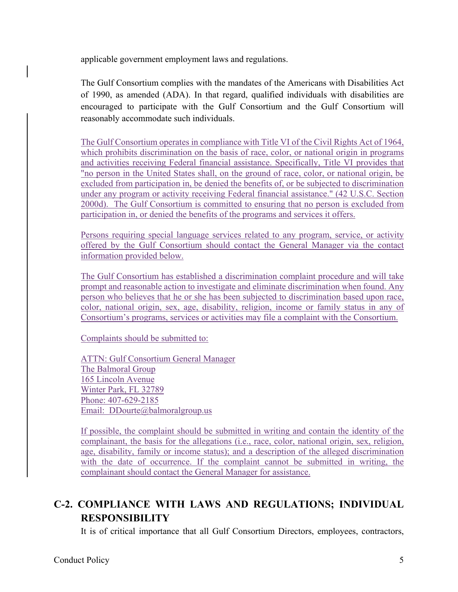applicable government employment laws and regulations.

The Gulf Consortium complies with the mandates of the Americans with Disabilities Act of 1990, as amended (ADA). In that regard, qualified individuals with disabilities are encouraged to participate with the Gulf Consortium and the Gulf Consortium will reasonably accommodate such individuals.

The Gulf Consortium operates in compliance with Title VI of the Civil Rights Act of 1964, which prohibits discrimination on the basis of race, color, or national origin in programs and activities receiving Federal financial assistance. Specifically, Title VI provides that "no person in the United States shall, on the ground of race, color, or national origin, be excluded from participation in, be denied the benefits of, or be subjected to discrimination under any program or activity receiving Federal financial assistance." (42 U.S.C. Section 2000d). The Gulf Consortium is committed to ensuring that no person is excluded from participation in, or denied the benefits of the programs and services it offers.

Persons requiring special language services related to any program, service, or activity offered by the Gulf Consortium should contact the General Manager via the contact information provided below.

The Gulf Consortium has established a discrimination complaint procedure and will take prompt and reasonable action to investigate and eliminate discrimination when found. Any person who believes that he or she has been subjected to discrimination based upon race, color, national origin, sex, age, disability, religion, income or family status in any of Consortium's programs, services or activities may file a complaint with the Consortium.

Complaints should be submitted to:

ATTN: Gulf Consortium General Manager The Balmoral Group 165 Lincoln Avenue Winter Park, FL 32789 Phone: 407-629-2185 Email: DDourte@balmoralgroup.us

If possible, the complaint should be submitted in writing and contain the identity of the complainant, the basis for the allegations (i.e., race, color, national origin, sex, religion, age, disability, family or income status); and a description of the alleged discrimination with the date of occurrence. If the complaint cannot be submitted in writing, the complainant should contact the General Manager for assistance.

## **C-2. COMPLIANCE WITH LAWS AND REGULATIONS; INDIVIDUAL RESPONSIBILITY**

It is of critical importance that all Gulf Consortium Directors, employees, contractors,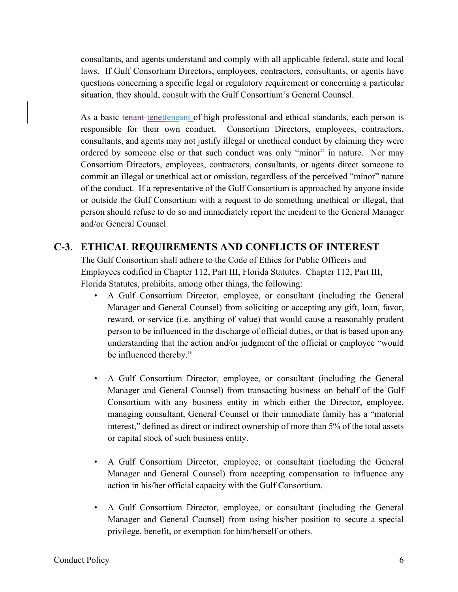consultants, and agents understand and comply with all applicable federal, state and local laws. If Gulf Consortium Directors, employees, contractors, consultants, or agents have questions concerning a specific legal or regulatory requirement or concerning a particular situation, they should, consult with the Gulf Consortium's General Counsel.

As a basic tenant tenetteneant of high professional and ethical standards, each person is responsible for their own conduct. Consortium Directors, employees, contractors, consultants, and agents may not justify illegal or unethical conduct by claiming they were ordered by someone else or that such conduct was only "minor" in nature. Nor may Consortium Directors, employees, contractors, consultants, or agents direct someone to commit an illegal or unethical act or omission, regardless of the perceived "minor" nature of the conduct. If a representative of the Gulf Consortium is approached by anyone inside or outside the Gulf Consortium with a request to do something unethical or illegal, that person should refuse to do so and immediately report the incident to the General Manager and/or General Counsel.

## **C-3. ETHICAL REQUIREMENTS AND CONFLICTS OF INTEREST**

The Gulf Consortium shall adhere to the Code of Ethics for Public Officers and Employees codified in Chapter 112, Part III, Florida Statutes. Chapter 112, Part III, Florida Statutes, prohibits, among other things, the following:

- A Gulf Consortium Director, employee, or consultant (including the General Manager and General Counsel) from soliciting or accepting any gift, loan, favor, reward, or service (i.e. anything of value) that would cause a reasonably prudent person to be influenced in the discharge of official duties, or that is based upon any understanding that the action and/or judgment of the official or employee "would be influenced thereby."
- A Gulf Consortium Director, employee, or consultant (including the General Manager and General Counsel) from transacting business on behalf of the Gulf Consortium with any business entity in which either the Director, employee, managing consultant, General Counsel or their immediate family has a "material interest," defined as direct or indirect ownership of more than 5% of the total assets or capital stock of such business entity.
- A Gulf Consortium Director, employee, or consultant (including the General Manager and General Counsel) from accepting compensation to influence any action in his/her official capacity with the Gulf Consortium.
- A Gulf Consortium Director, employee, or consultant (including the General Manager and General Counsel) from using his/her position to secure a special privilege, benefit, or exemption for him/herself or others.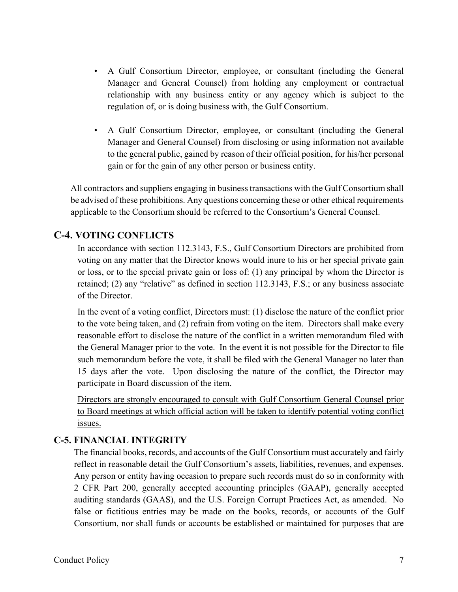- A Gulf Consortium Director, employee, or consultant (including the General Manager and General Counsel) from holding any employment or contractual relationship with any business entity or any agency which is subject to the regulation of, or is doing business with, the Gulf Consortium.
- A Gulf Consortium Director, employee, or consultant (including the General Manager and General Counsel) from disclosing or using information not available to the general public, gained by reason of their official position, for his/her personal gain or for the gain of any other person or business entity.

All contractors and suppliers engaging in business transactions with the Gulf Consortium shall be advised of these prohibitions. Any questions concerning these or other ethical requirements applicable to the Consortium should be referred to the Consortium's General Counsel.

## **C-4. VOTING CONFLICTS**

In accordance with section 112.3143, F.S., Gulf Consortium Directors are prohibited from voting on any matter that the Director knows would inure to his or her special private gain or loss, or to the special private gain or loss of: (1) any principal by whom the Director is retained; (2) any "relative" as defined in section 112.3143, F.S.; or any business associate of the Director.

In the event of a voting conflict, Directors must: (1) disclose the nature of the conflict prior to the vote being taken, and (2) refrain from voting on the item. Directors shall make every reasonable effort to disclose the nature of the conflict in a written memorandum filed with the General Manager prior to the vote. In the event it is not possible for the Director to file such memorandum before the vote, it shall be filed with the General Manager no later than 15 days after the vote. Upon disclosing the nature of the conflict, the Director may participate in Board discussion of the item.

Directors are strongly encouraged to consult with Gulf Consortium General Counsel prior to Board meetings at which official action will be taken to identify potential voting conflict issues.

### **C-5. FINANCIAL INTEGRITY**

The financial books, records, and accounts of the Gulf Consortium must accurately and fairly reflect in reasonable detail the Gulf Consortium's assets, liabilities, revenues, and expenses. Any person or entity having occasion to prepare such records must do so in conformity with 2 CFR Part 200, generally accepted accounting principles (GAAP), generally accepted auditing standards (GAAS), and the U.S. Foreign Corrupt Practices Act, as amended. No false or fictitious entries may be made on the books, records, or accounts of the Gulf Consortium, nor shall funds or accounts be established or maintained for purposes that are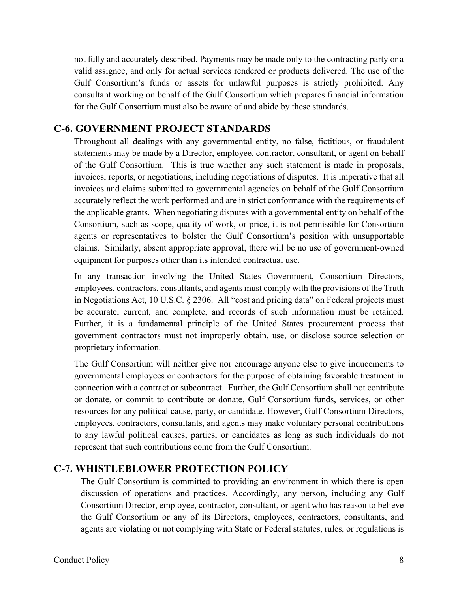not fully and accurately described. Payments may be made only to the contracting party or a valid assignee, and only for actual services rendered or products delivered. The use of the Gulf Consortium's funds or assets for unlawful purposes is strictly prohibited. Any consultant working on behalf of the Gulf Consortium which prepares financial information for the Gulf Consortium must also be aware of and abide by these standards.

### **C-6. GOVERNMENT PROJECT STANDARDS**

Throughout all dealings with any governmental entity, no false, fictitious, or fraudulent statements may be made by a Director, employee, contractor, consultant, or agent on behalf of the Gulf Consortium. This is true whether any such statement is made in proposals, invoices, reports, or negotiations, including negotiations of disputes. It is imperative that all invoices and claims submitted to governmental agencies on behalf of the Gulf Consortium accurately reflect the work performed and are in strict conformance with the requirements of the applicable grants. When negotiating disputes with a governmental entity on behalf of the Consortium, such as scope, quality of work, or price, it is not permissible for Consortium agents or representatives to bolster the Gulf Consortium's position with unsupportable claims. Similarly, absent appropriate approval, there will be no use of government-owned equipment for purposes other than its intended contractual use.

In any transaction involving the United States Government, Consortium Directors, employees, contractors, consultants, and agents must comply with the provisions of the Truth in Negotiations Act, 10 U.S.C. § 2306. All "cost and pricing data" on Federal projects must be accurate, current, and complete, and records of such information must be retained. Further, it is a fundamental principle of the United States procurement process that government contractors must not improperly obtain, use, or disclose source selection or proprietary information.

The Gulf Consortium will neither give nor encourage anyone else to give inducements to governmental employees or contractors for the purpose of obtaining favorable treatment in connection with a contract or subcontract. Further, the Gulf Consortium shall not contribute or donate, or commit to contribute or donate, Gulf Consortium funds, services, or other resources for any political cause, party, or candidate. However, Gulf Consortium Directors, employees, contractors, consultants, and agents may make voluntary personal contributions to any lawful political causes, parties, or candidates as long as such individuals do not represent that such contributions come from the Gulf Consortium.

## **C-7. WHISTLEBLOWER PROTECTION POLICY**

The Gulf Consortium is committed to providing an environment in which there is open discussion of operations and practices. Accordingly, any person, including any Gulf Consortium Director, employee, contractor, consultant, or agent who has reason to believe the Gulf Consortium or any of its Directors, employees, contractors, consultants, and agents are violating or not complying with State or Federal statutes, rules, or regulations is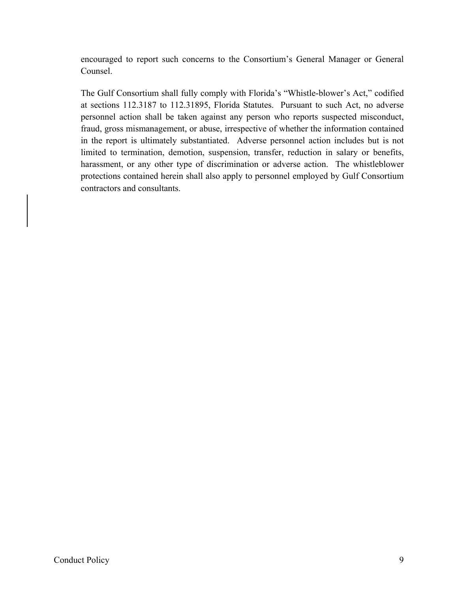encouraged to report such concerns to the Consortium's General Manager or General Counsel.

The Gulf Consortium shall fully comply with Florida's "Whistle-blower's Act," codified at sections 112.3187 to 112.31895, Florida Statutes. Pursuant to such Act, no adverse personnel action shall be taken against any person who reports suspected misconduct, fraud, gross mismanagement, or abuse, irrespective of whether the information contained in the report is ultimately substantiated. Adverse personnel action includes but is not limited to termination, demotion, suspension, transfer, reduction in salary or benefits, harassment, or any other type of discrimination or adverse action. The whistleblower protections contained herein shall also apply to personnel employed by Gulf Consortium contractors and consultants.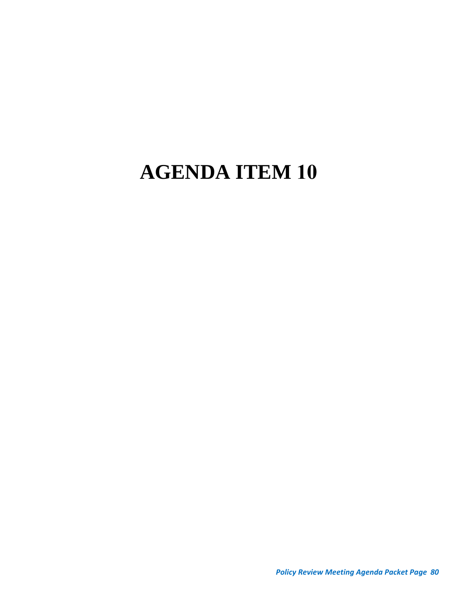# **AGENDA ITEM 10**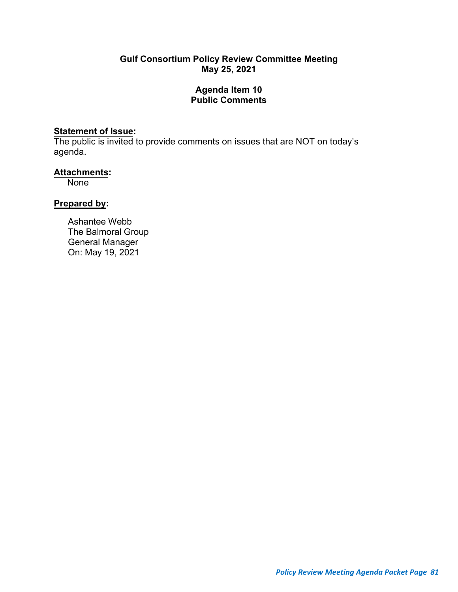#### **Gulf Consortium Policy Review Committee Meeting May 25, 2021**

#### **Agenda Item 10 Public Comments**

#### **Statement of Issue:**

The public is invited to provide comments on issues that are NOT on today's agenda.

#### **Attachments:**

None

## **Prepared by:**

Ashantee Webb The Balmoral Group General Manager On: May 19, 2021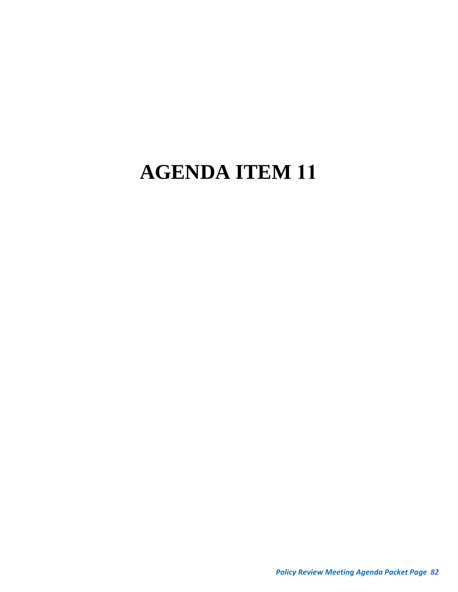# **AGENDA ITEM 11**